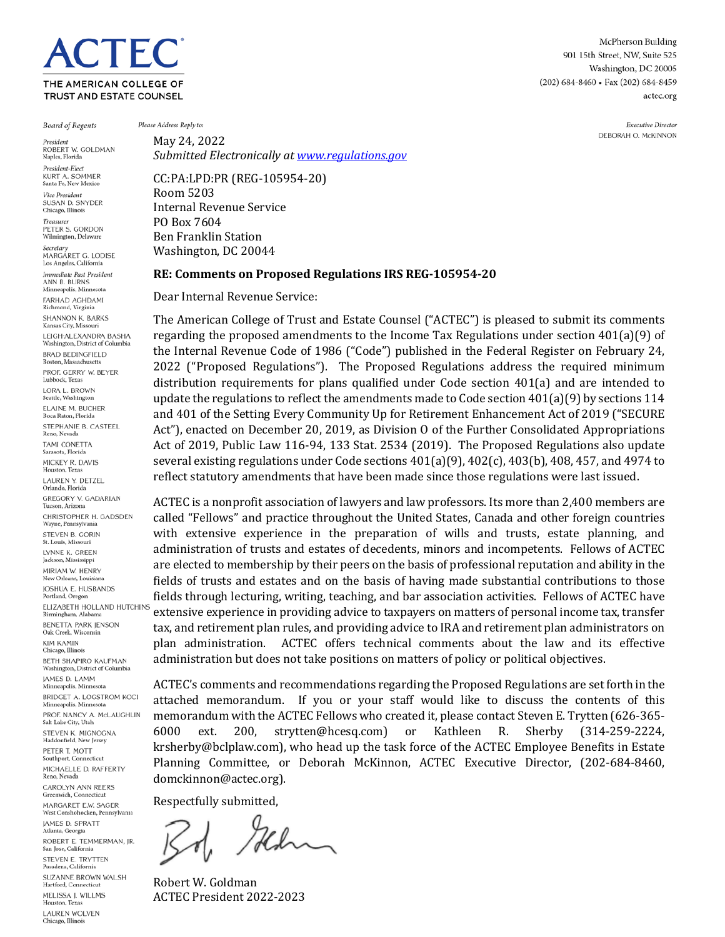# **TEC** THE AMERICAN COLLEGE OF **TRUST AND ESTATE COUNSEL**

McPherson Building 901 15th Street, NW, Suite 525 Washington, DC 20005 (202) 684-8460 • Fax (202) 684-8459 actec.org

> Executive Director DEBORAH O. McKINNON

**Board of Regents** President ROBERT W. GOLDMAN Naples, Florida President-Elect KURT A. SOMMER Santa Fe, New Mexico Vice President SUSAN D. SNYDER<br>Chicago, Illinois Treasurer PETER S. GORDON Wilmington, Delaware Secretary MARGARET G. LODISE Los Angeles, Cali Immediate Past President ANN B. BURNS Minneapolis, Minnesota FARHAD AGHDAMI Richmond, Virginia SHANNON K. BARKS Kansas City, Missouri LEIGH-ALEXANDRA BASHA Washington, District of Columbia **BRAD BEDINGFIELD** oston, Massachusetts PROF. GERRY W. BEYER Lubbock, Texas LORA L. BROWN Scattle, Washington **ELAINE M. BUCHER** Boca Raton, Florida STEPHANIE B. CASTEEL Reno, Nevada TAMI CONETTA Sarasota, Florida MICKEY R. DAVIS Houston, Texas LAUREN Y. DETZEL Orlando, Florida **GREGORY V. GADARIAN** Tucson, Arizona CHRISTOPHER H. GADSDEN Wayne, Pennsylva STEVEN B. GORIN St. Louis, Missouri LYNNE K. GREEN Jackson, Mississippi MIRIAM W. HENRY New Orleans, Louisiana **IOSHUA E. HUSBANDS** Portland, Oregon ELIZABETH HOLLAND HUTCHINS Birmingham, Alaban **BENETTA PARK JENSON** Oak Creek, Wisconsin **KIM KAMIN** Chicago, Illinois BETH SHAPIRO KAUFMAN Washington, District of Columbia **JAMES D. LAMM** Minneapolis, Minnesota BRIDGET A. LOGSTROM KOCI Minneapolis, Minnesota PROF. NANCY A. McLAUGHLIN Salt Lake City, Utah STEVEN K. MIGNOGNA<br>Haddonfield, New Jersey PETER T. MOTT Southport, Connecticut MICHAELLE D. RAFFERTY Reno, Nevada CAROLYN ANN REERS Greenwich, Connecticut MARGARET E.W. SAGER West Conshohocken, Pennsylvania **JAMES D. SPRATT** Atlanta, Georgia ROBERT E. TEMMERMAN, IR. San Jose, California STEVEN E. TRYTTEN Pasadena, Californi SUZANNE BROWN WALSH

Hartford, Connecticut MELISSA J. WILLMS Houston, Texas **LAUREN WOLVEN** Chicago, Illinoi:

Please Address Reply to:

May 24, 2022 *Submitted Electronically at [www.regulations.gov](http://www.regulations.gov/)*

CC:PA:LPD:PR (REG-105954-20) Room 5203 Internal Revenue Service PO Box 7604 Ben Franklin Station Washington, DC 20044

#### **RE: Comments on Proposed Regulations IRS REG-105954-20**

Dear Internal Revenue Service:

The American College of Trust and Estate Counsel ("ACTEC") is pleased to submit its comments regarding the proposed amendments to the Income Tax Regulations under section 401(a)(9) of the Internal Revenue Code of 1986 ("Code") published in the Federal Register on February 24, 2022 ("Proposed Regulations"). The Proposed Regulations address the required minimum distribution requirements for plans qualified under Code section 401(a) and are intended to update the regulations to reflect the amendments made to Code section 401(a)(9) by sections 114 and 401 of the Setting Every Community Up for Retirement Enhancement Act of 2019 ("SECURE Act"), enacted on December 20, 2019, as Division O of the Further Consolidated Appropriations Act of 2019, Public Law 116-94, 133 Stat. 2534 (2019). The Proposed Regulations also update several existing regulations under Code sections 401(a)(9), 402(c), 403(b), 408, 457, and 4974 to reflect statutory amendments that have been made since those regulations were last issued.

ACTEC is a nonprofit association of lawyers and law professors. Its more than 2,400 members are called "Fellows" and practice throughout the United States, Canada and other foreign countries with extensive experience in the preparation of wills and trusts, estate planning, and administration of trusts and estates of decedents, minors and incompetents. Fellows of ACTEC are elected to membership by their peers on the basis of professional reputation and ability in the fields of trusts and estates and on the basis of having made substantial contributions to those fields through lecturing, writing, teaching, and bar association activities. Fellows of ACTEC have extensive experience in providing advice to taxpayers on matters of personal income tax, transfer tax, and retirement plan rules, and providing advice to IRA and retirement plan administrators on plan administration. ACTEC offers technical comments about the law and its effective administration but does not take positions on matters of policy or political objectives.

ACTEC's comments and recommendations regarding the Proposed Regulations are set forth in the attached memorandum. If you or your staff would like to discuss the contents of this memorandum with the ACTEC Fellows who created it, please contact Steven E. Trytten (626-365-6000 ext. 200, strytten@hcesq.com) or Kathleen R. Sherby (314-259-2224, 6000 ext. 200, strytten@hcesq.com) or Kathleen R. Sherby krsherby@bclplaw.com), who head up the task force of the ACTEC Employee Benefits in Estate Planning Committee, or Deborah McKinnon, ACTEC Executive Director, (202-684-8460, domckinnon@actec.org).

Respectfully submitted,

Hhm

Robert W. Goldman ACTEC President 2022-2023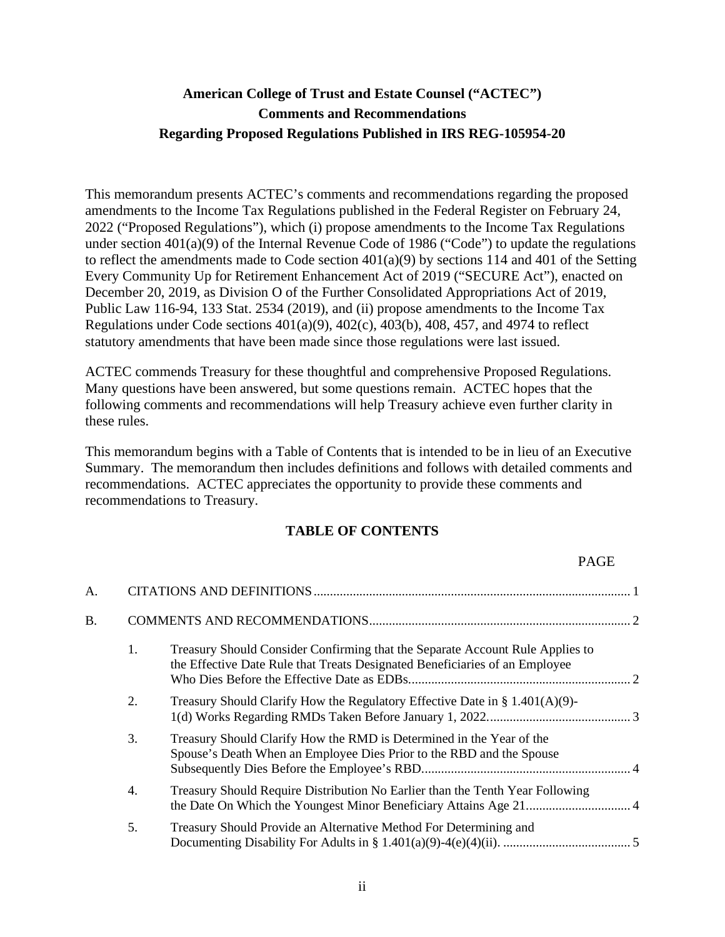### **American College of Trust and Estate Counsel ("ACTEC") Comments and Recommendations Regarding Proposed Regulations Published in IRS REG-105954-20**

This memorandum presents ACTEC's comments and recommendations regarding the proposed amendments to the Income Tax Regulations published in the Federal Register on February 24, 2022 ("Proposed Regulations"), which (i) propose amendments to the Income Tax Regulations under section  $401(a)(9)$  of the Internal Revenue Code of 1986 ("Code") to update the regulations to reflect the amendments made to Code section 401(a)(9) by sections 114 and 401 of the Setting Every Community Up for Retirement Enhancement Act of 2019 ("SECURE Act"), enacted on December 20, 2019, as Division O of the Further Consolidated Appropriations Act of 2019, Public Law 116-94, 133 Stat. 2534 (2019), and (ii) propose amendments to the Income Tax Regulations under Code sections  $401(a)(9)$ ,  $402(c)$ ,  $403(b)$ ,  $408$ ,  $457$ , and  $4974$  to reflect statutory amendments that have been made since those regulations were last issued.

ACTEC commends Treasury for these thoughtful and comprehensive Proposed Regulations. Many questions have been answered, but some questions remain. ACTEC hopes that the following comments and recommendations will help Treasury achieve even further clarity in these rules.

This memorandum begins with a Table of Contents that is intended to be in lieu of an Executive Summary. The memorandum then includes definitions and follows with detailed comments and recommendations. ACTEC appreciates the opportunity to provide these comments and recommendations to Treasury.

#### **TABLE OF CONTENTS**

#### PAGE

| A. |    |                                                                                                                                                              |  |
|----|----|--------------------------------------------------------------------------------------------------------------------------------------------------------------|--|
| B. |    |                                                                                                                                                              |  |
|    | 1. | Treasury Should Consider Confirming that the Separate Account Rule Applies to<br>the Effective Date Rule that Treats Designated Beneficiaries of an Employee |  |
|    | 2. | Treasury Should Clarify How the Regulatory Effective Date in $\S 1.401(A)(9)$ -                                                                              |  |
|    | 3. | Treasury Should Clarify How the RMD is Determined in the Year of the<br>Spouse's Death When an Employee Dies Prior to the RBD and the Spouse                 |  |
|    | 4. | Treasury Should Require Distribution No Earlier than the Tenth Year Following                                                                                |  |
|    | 5. | Treasury Should Provide an Alternative Method For Determining and                                                                                            |  |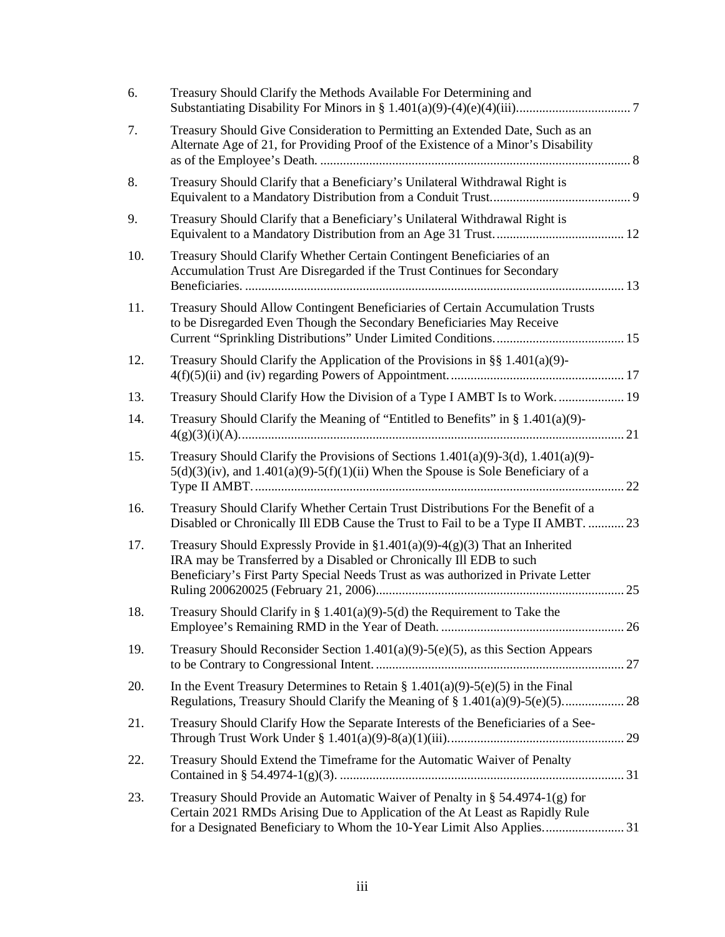<span id="page-2-0"></span>

| 6.  | Treasury Should Clarify the Methods Available For Determining and                                                                                                                                                                            |  |
|-----|----------------------------------------------------------------------------------------------------------------------------------------------------------------------------------------------------------------------------------------------|--|
| 7.  | Treasury Should Give Consideration to Permitting an Extended Date, Such as an<br>Alternate Age of 21, for Providing Proof of the Existence of a Minor's Disability                                                                           |  |
| 8.  | Treasury Should Clarify that a Beneficiary's Unilateral Withdrawal Right is                                                                                                                                                                  |  |
| 9.  | Treasury Should Clarify that a Beneficiary's Unilateral Withdrawal Right is                                                                                                                                                                  |  |
| 10. | Treasury Should Clarify Whether Certain Contingent Beneficiaries of an<br>Accumulation Trust Are Disregarded if the Trust Continues for Secondary                                                                                            |  |
| 11. | Treasury Should Allow Contingent Beneficiaries of Certain Accumulation Trusts<br>to be Disregarded Even Though the Secondary Beneficiaries May Receive                                                                                       |  |
| 12. | Treasury Should Clarify the Application of the Provisions in $\S$ 1.401(a)(9)-                                                                                                                                                               |  |
| 13. | Treasury Should Clarify How the Division of a Type I AMBT Is to Work.  19                                                                                                                                                                    |  |
| 14. | Treasury Should Clarify the Meaning of "Entitled to Benefits" in $\S 1.401(a)(9)$ -                                                                                                                                                          |  |
| 15. | Treasury Should Clarify the Provisions of Sections $1.401(a)(9)-3(d), 1.401(a)(9)$ -<br>$5(d)(3)(iv)$ , and $1.401(a)(9)-5(f)(1)(ii)$ When the Spouse is Sole Beneficiary of a                                                               |  |
| 16. | Treasury Should Clarify Whether Certain Trust Distributions For the Benefit of a<br>Disabled or Chronically Ill EDB Cause the Trust to Fail to be a Type II AMBT.  23                                                                        |  |
| 17. | Treasury Should Expressly Provide in $\S1.401(a)(9) - 4(g)(3)$ That an Inherited<br>IRA may be Transferred by a Disabled or Chronically Ill EDB to such<br>Beneficiary's First Party Special Needs Trust as was authorized in Private Letter |  |
| 18. | Treasury Should Clarify in § 1.401(a)(9)-5(d) the Requirement to Take the                                                                                                                                                                    |  |
| 19. | Treasury Should Reconsider Section $1.401(a)(9)-5(e)(5)$ , as this Section Appears                                                                                                                                                           |  |
| 20. | In the Event Treasury Determines to Retain § 1.401(a)(9)-5(e)(5) in the Final                                                                                                                                                                |  |
| 21. | Treasury Should Clarify How the Separate Interests of the Beneficiaries of a See-                                                                                                                                                            |  |
| 22. | Treasury Should Extend the Timeframe for the Automatic Waiver of Penalty                                                                                                                                                                     |  |
| 23. | Treasury Should Provide an Automatic Waiver of Penalty in § 54.4974-1(g) for<br>Certain 2021 RMDs Arising Due to Application of the At Least as Rapidly Rule<br>for a Designated Beneficiary to Whom the 10-Year Limit Also Applies 31       |  |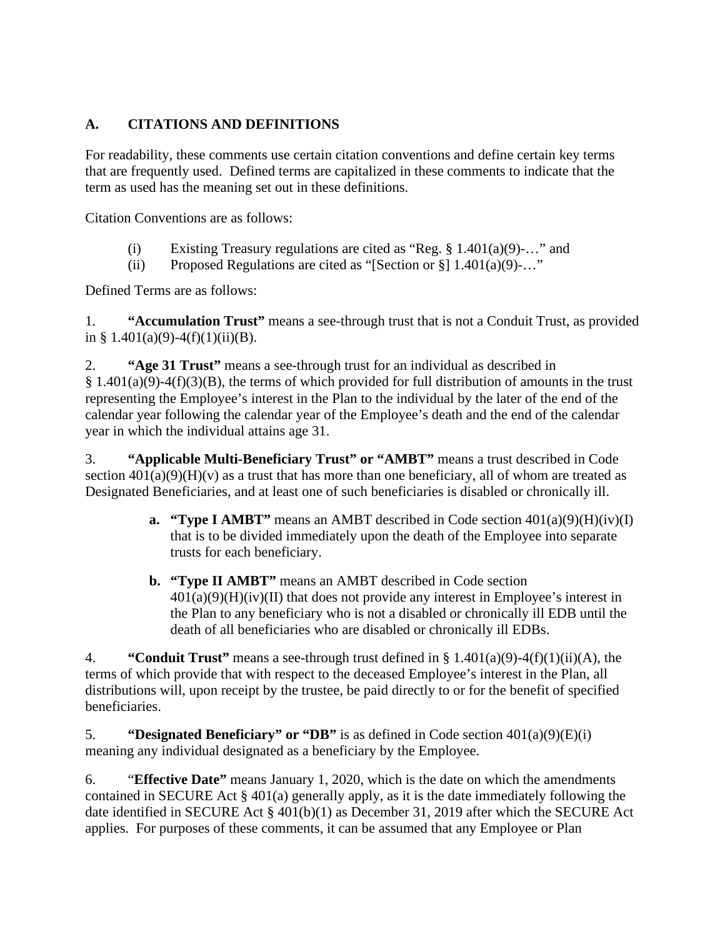### **A. CITATIONS AND DEFINITIONS**

For readability, these comments use certain citation conventions and define certain key terms that are frequently used. Defined terms are capitalized in these comments to indicate that the term as used has the meaning set out in these definitions.

Citation Conventions are as follows:

- (i) Existing Treasury regulations are cited as "Reg.  $\S 1.401(a)(9)$ -..." and
- (ii) Proposed Regulations are cited as "[Section or  $\S$ ] 1.401(a)(9)-..."

Defined Terms are as follows:

1. **"Accumulation Trust"** means a see-through trust that is not a Conduit Trust, as provided in § 1.401(a)(9)-4(f)(1)(ii)(B).

2. **"Age 31 Trust"** means a see-through trust for an individual as described in  $§ 1.401(a)(9)-4(f)(3)(B)$ , the terms of which provided for full distribution of amounts in the trust representing the Employee's interest in the Plan to the individual by the later of the end of the calendar year following the calendar year of the Employee's death and the end of the calendar year in which the individual attains age 31.

3. **"Applicable Multi-Beneficiary Trust" or "AMBT"** means a trust described in Code section  $401(a)(9)(H)(v)$  as a trust that has more than one beneficiary, all of whom are treated as Designated Beneficiaries, and at least one of such beneficiaries is disabled or chronically ill.

- **a. "Type I AMBT"** means an AMBT described in Code section  $401(a)(9)(H)(iv)(I)$ that is to be divided immediately upon the death of the Employee into separate trusts for each beneficiary.
- **b. "Type II AMBT"** means an AMBT described in Code section  $401(a)(9)(H)(iv)(II)$  that does not provide any interest in Employee's interest in the Plan to any beneficiary who is not a disabled or chronically ill EDB until the death of all beneficiaries who are disabled or chronically ill EDBs.

4. **"Conduit Trust"** means a see-through trust defined in § 1.401(a)(9)-4(f)(1)(ii)(A), the terms of which provide that with respect to the deceased Employee's interest in the Plan, all distributions will, upon receipt by the trustee, be paid directly to or for the benefit of specified beneficiaries.

5. **"Designated Beneficiary" or "DB"** is as defined in Code section 401(a)(9)(E)(i) meaning any individual designated as a beneficiary by the Employee.

6. "**Effective Date"** means January 1, 2020, which is the date on which the amendments contained in SECURE Act § 401(a) generally apply, as it is the date immediately following the date identified in SECURE Act § 401(b)(1) as December 31, 2019 after which the SECURE Act applies. For purposes of these comments, it can be assumed that any Employee or Plan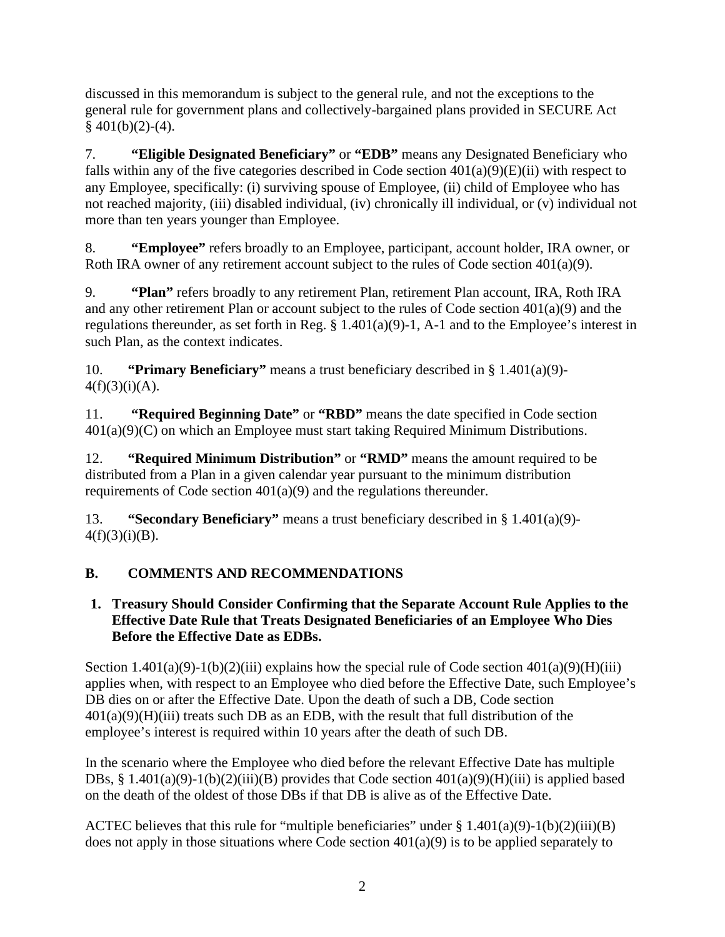discussed in this memorandum is subject to the general rule, and not the exceptions to the general rule for government plans and collectively-bargained plans provided in SECURE Act  $§$  401(b)(2)-(4).

7. **"Eligible Designated Beneficiary"** or **"EDB"** means any Designated Beneficiary who falls within any of the five categories described in Code section  $401(a)(9)(E)(ii)$  with respect to any Employee, specifically: (i) surviving spouse of Employee, (ii) child of Employee who has not reached majority, (iii) disabled individual, (iv) chronically ill individual, or (v) individual not more than ten years younger than Employee.

8. **"Employee"** refers broadly to an Employee, participant, account holder, IRA owner, or Roth IRA owner of any retirement account subject to the rules of Code section 401(a)(9).

9. **"Plan"** refers broadly to any retirement Plan, retirement Plan account, IRA, Roth IRA and any other retirement Plan or account subject to the rules of Code section 401(a)(9) and the regulations thereunder, as set forth in Reg. § 1.401(a)(9)-1, A-1 and to the Employee's interest in such Plan, as the context indicates.

10. **"Primary Beneficiary"** means a trust beneficiary described in § 1.401(a)(9)-  $4(f)(3)(i)(A)$ .

11. **"Required Beginning Date"** or **"RBD"** means the date specified in Code section 401(a)(9)(C) on which an Employee must start taking Required Minimum Distributions.

12. **"Required Minimum Distribution"** or **"RMD"** means the amount required to be distributed from a Plan in a given calendar year pursuant to the minimum distribution requirements of Code section 401(a)(9) and the regulations thereunder.

13. **"Secondary Beneficiary"** means a trust beneficiary described in § 1.401(a)(9)-  $4(f)(3)(i)(B)$ .

## <span id="page-4-0"></span>**B. COMMENTS AND RECOMMENDATIONS**

### <span id="page-4-1"></span>**1. Treasury Should Consider Confirming that the Separate Account Rule Applies to the Effective Date Rule that Treats Designated Beneficiaries of an Employee Who Dies Before the Effective Date as EDBs.**

Section  $1.401(a)(9)$ -1(b)(2)(iii) explains how the special rule of Code section  $401(a)(9)$ (H)(iii) applies when, with respect to an Employee who died before the Effective Date, such Employee's DB dies on or after the Effective Date. Upon the death of such a DB, Code section  $401(a)(9)(H)(iii)$  treats such DB as an EDB, with the result that full distribution of the employee's interest is required within 10 years after the death of such DB.

In the scenario where the Employee who died before the relevant Effective Date has multiple DBs, § 1.401(a)(9)-1(b)(2)(iii)(B) provides that Code section  $401(a)(9)(H)$ (iii) is applied based on the death of the oldest of those DBs if that DB is alive as of the Effective Date.

ACTEC believes that this rule for "multiple beneficiaries" under  $\S 1.401(a)(9)-1(b)(2)(iii)(B)$ does not apply in those situations where Code section  $401(a)(9)$  is to be applied separately to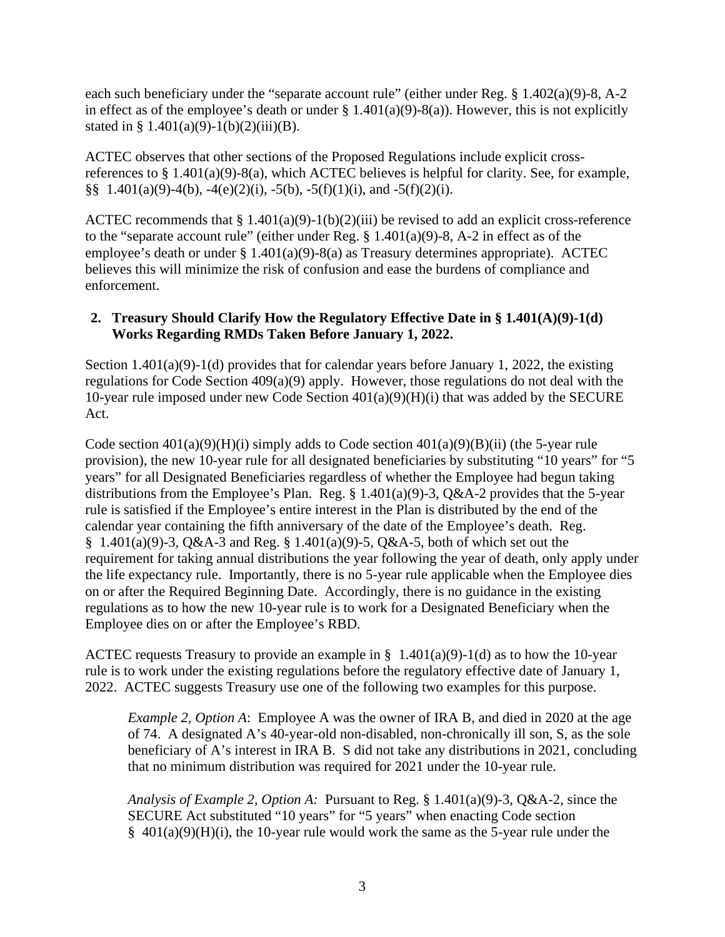each such beneficiary under the "separate account rule" (either under Reg. § 1.402(a)(9)-8, A-2 in effect as of the employee's death or under  $\S 1.401(a)(9) - 8(a)$ ). However, this is not explicitly stated in §  $1.401(a)(9)-1(b)(2)(iii)(B)$ .

ACTEC observes that other sections of the Proposed Regulations include explicit crossreferences to § 1.401(a)(9)-8(a), which ACTEC believes is helpful for clarity. See, for example, §§  $1.401(a)(9)-4(b)$ ,  $-4(e)(2)(i)$ ,  $-5(b)$ ,  $-5(f)(1)(i)$ , and  $-5(f)(2)(i)$ .

ACTEC recommends that § 1.401(a)(9)-1(b)(2)(iii) be revised to add an explicit cross-reference to the "separate account rule" (either under Reg.  $\S$  1.401(a)(9)-8, A-2 in effect as of the employee's death or under § 1.401(a)(9)-8(a) as Treasury determines appropriate). ACTEC believes this will minimize the risk of confusion and ease the burdens of compliance and enforcement.

#### <span id="page-5-0"></span>**2. Treasury Should Clarify How the Regulatory Effective Date in § 1.401(A)(9)-1(d) Works Regarding RMDs Taken Before January 1, 2022.**

Section 1.401(a)(9)-1(d) provides that for calendar years before January 1, 2022, the existing regulations for Code Section 409(a)(9) apply. However, those regulations do not deal with the 10-year rule imposed under new Code Section 401(a)(9)(H)(i) that was added by the SECURE Act.

Code section  $401(a)(9)(H)(i)$  simply adds to Code section  $401(a)(9)(B)(ii)$  (the 5-year rule provision), the new 10-year rule for all designated beneficiaries by substituting "10 years" for "5 years" for all Designated Beneficiaries regardless of whether the Employee had begun taking distributions from the Employee's Plan. Reg.  $\S 1.401(a)(9)-3$ , Q&A-2 provides that the 5-year rule is satisfied if the Employee's entire interest in the Plan is distributed by the end of the calendar year containing the fifth anniversary of the date of the Employee's death. Reg. § 1.401(a)(9)-3, Q&A-3 and Reg. § 1.401(a)(9)-5, Q&A-5, both of which set out the requirement for taking annual distributions the year following the year of death, only apply under the life expectancy rule. Importantly, there is no 5-year rule applicable when the Employee dies on or after the Required Beginning Date. Accordingly, there is no guidance in the existing regulations as to how the new 10-year rule is to work for a Designated Beneficiary when the Employee dies on or after the Employee's RBD.

ACTEC requests Treasury to provide an example in §  $1.401(a)(9)-1(d)$  as to how the 10-year rule is to work under the existing regulations before the regulatory effective date of January 1, 2022. ACTEC suggests Treasury use one of the following two examples for this purpose.

*Example 2, Option A*: Employee A was the owner of IRA B, and died in 2020 at the age of 74. A designated A's 40-year-old non-disabled, non-chronically ill son, S, as the sole beneficiary of A's interest in IRA B. S did not take any distributions in 2021, concluding that no minimum distribution was required for 2021 under the 10-year rule.

*Analysis of Example 2, Option A:* Pursuant to Reg. § 1.401(a)(9)-3, Q&A-2, since the SECURE Act substituted "10 years" for "5 years" when enacting Code section § 401(a)(9)(H)(i), the 10-year rule would work the same as the 5-year rule under the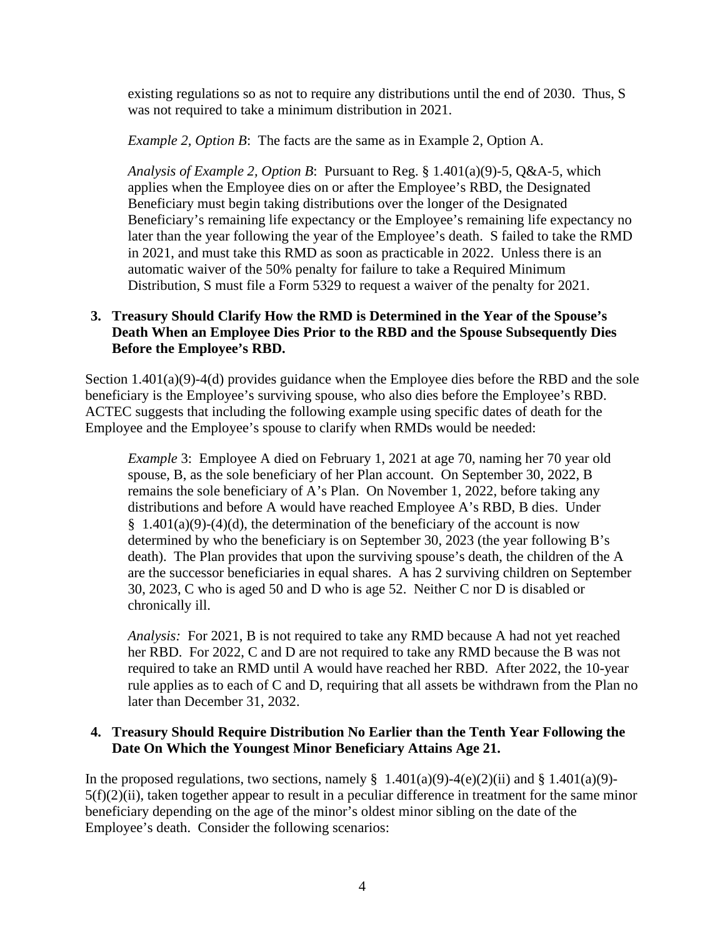existing regulations so as not to require any distributions until the end of 2030. Thus, S was not required to take a minimum distribution in 2021.

*Example 2, Option B*: The facts are the same as in Example 2, Option A.

*Analysis of Example 2, Option B*: Pursuant to Reg. § 1.401(a)(9)-5, Q&A-5, which applies when the Employee dies on or after the Employee's RBD, the Designated Beneficiary must begin taking distributions over the longer of the Designated Beneficiary's remaining life expectancy or the Employee's remaining life expectancy no later than the year following the year of the Employee's death. S failed to take the RMD in 2021, and must take this RMD as soon as practicable in 2022. Unless there is an automatic waiver of the 50% penalty for failure to take a Required Minimum Distribution, S must file a Form 5329 to request a waiver of the penalty for 2021.

#### <span id="page-6-0"></span>**3. Treasury Should Clarify How the RMD is Determined in the Year of the Spouse's Death When an Employee Dies Prior to the RBD and the Spouse Subsequently Dies Before the Employee's RBD.**

Section 1.401(a)(9)-4(d) provides guidance when the Employee dies before the RBD and the sole beneficiary is the Employee's surviving spouse, who also dies before the Employee's RBD. ACTEC suggests that including the following example using specific dates of death for the Employee and the Employee's spouse to clarify when RMDs would be needed:

*Example 3*: Employee A died on February 1, 2021 at age 70, naming her 70 year old spouse, B, as the sole beneficiary of her Plan account. On September 30, 2022, B remains the sole beneficiary of A's Plan. On November 1, 2022, before taking any distributions and before A would have reached Employee A's RBD, B dies. Under  $§ 1.401(a)(9)-(4)(d)$ , the determination of the beneficiary of the account is now determined by who the beneficiary is on September 30, 2023 (the year following B's death). The Plan provides that upon the surviving spouse's death, the children of the A are the successor beneficiaries in equal shares. A has 2 surviving children on September 30, 2023, C who is aged 50 and D who is age 52. Neither C nor D is disabled or chronically ill.

*Analysis:* For 2021, B is not required to take any RMD because A had not yet reached her RBD. For 2022, C and D are not required to take any RMD because the B was not required to take an RMD until A would have reached her RBD. After 2022, the 10-year rule applies as to each of C and D, requiring that all assets be withdrawn from the Plan no later than December 31, 2032.

#### <span id="page-6-1"></span>**4. Treasury Should Require Distribution No Earlier than the Tenth Year Following the Date On Which the Youngest Minor Beneficiary Attains Age 21.**

In the proposed regulations, two sections, namely  $\S$  1.401(a)(9)-4(e)(2)(ii) and  $\S$  1.401(a)(9)- $5(f)(2)(ii)$ , taken together appear to result in a peculiar difference in treatment for the same minor beneficiary depending on the age of the minor's oldest minor sibling on the date of the Employee's death. Consider the following scenarios: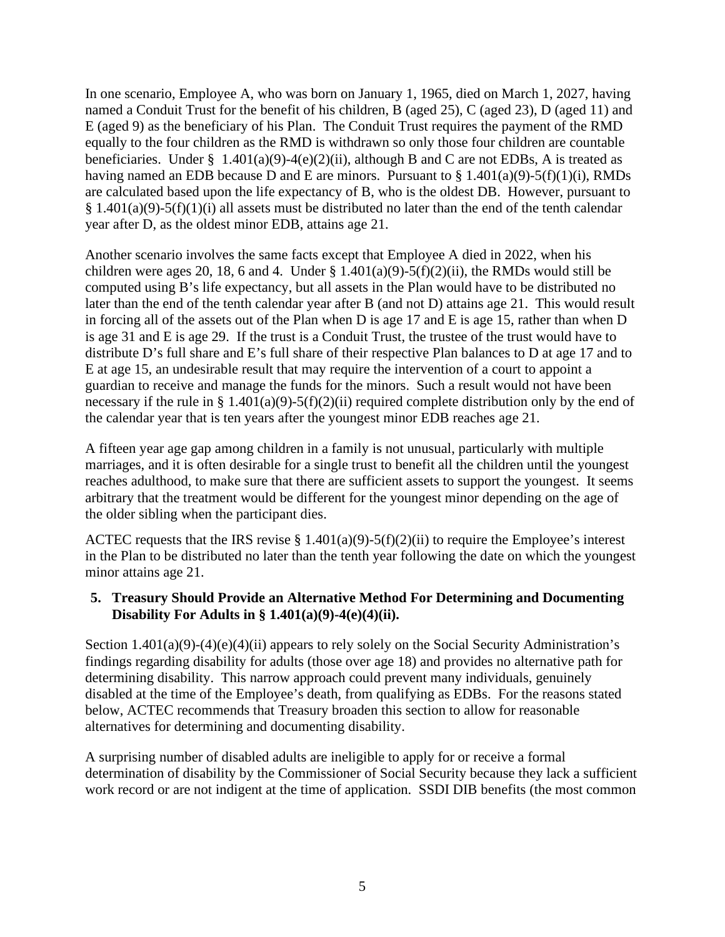In one scenario, Employee A, who was born on January 1, 1965, died on March 1, 2027, having named a Conduit Trust for the benefit of his children, B (aged 25), C (aged 23), D (aged 11) and E (aged 9) as the beneficiary of his Plan. The Conduit Trust requires the payment of the RMD equally to the four children as the RMD is withdrawn so only those four children are countable beneficiaries. Under § 1.401(a)(9)-4(e)(2)(ii), although B and C are not EDBs, A is treated as having named an EDB because D and E are minors. Pursuant to  $\S 1.401(a)(9)-5(f)(1)(i)$ , RMDs are calculated based upon the life expectancy of B, who is the oldest DB. However, pursuant to  $§ 1.401(a)(9)-5(f)(1)(i)$  all assets must be distributed no later than the end of the tenth calendar year after D, as the oldest minor EDB, attains age 21.

Another scenario involves the same facts except that Employee A died in 2022, when his children were ages 20, 18, 6 and 4. Under §  $1.401(a)(9) - 5(f)(2)(ii)$ , the RMDs would still be computed using B's life expectancy, but all assets in the Plan would have to be distributed no later than the end of the tenth calendar year after B (and not D) attains age 21. This would result in forcing all of the assets out of the Plan when D is age 17 and E is age 15, rather than when D is age 31 and E is age 29. If the trust is a Conduit Trust, the trustee of the trust would have to distribute D's full share and E's full share of their respective Plan balances to D at age 17 and to E at age 15, an undesirable result that may require the intervention of a court to appoint a guardian to receive and manage the funds for the minors. Such a result would not have been necessary if the rule in § 1.401(a)(9)-5(f)(2)(ii) required complete distribution only by the end of the calendar year that is ten years after the youngest minor EDB reaches age 21.

A fifteen year age gap among children in a family is not unusual, particularly with multiple marriages, and it is often desirable for a single trust to benefit all the children until the youngest reaches adulthood, to make sure that there are sufficient assets to support the youngest. It seems arbitrary that the treatment would be different for the youngest minor depending on the age of the older sibling when the participant dies.

ACTEC requests that the IRS revise  $\S 1.401(a)(9) - 5(f)(2)(ii)$  to require the Employee's interest in the Plan to be distributed no later than the tenth year following the date on which the youngest minor attains age 21.

#### <span id="page-7-0"></span>**5. Treasury Should Provide an Alternative Method For Determining and Documenting Disability For Adults in § 1.401(a)(9)-4(e)(4)(ii).**

Section  $1.401(a)(9)-(4)(e)(4)(ii)$  appears to rely solely on the Social Security Administration's findings regarding disability for adults (those over age 18) and provides no alternative path for determining disability. This narrow approach could prevent many individuals, genuinely disabled at the time of the Employee's death, from qualifying as EDBs. For the reasons stated below, ACTEC recommends that Treasury broaden this section to allow for reasonable alternatives for determining and documenting disability.

A surprising number of disabled adults are ineligible to apply for or receive a formal determination of disability by the Commissioner of Social Security because they lack a sufficient work record or are not indigent at the time of application. SSDI DIB benefits (the most common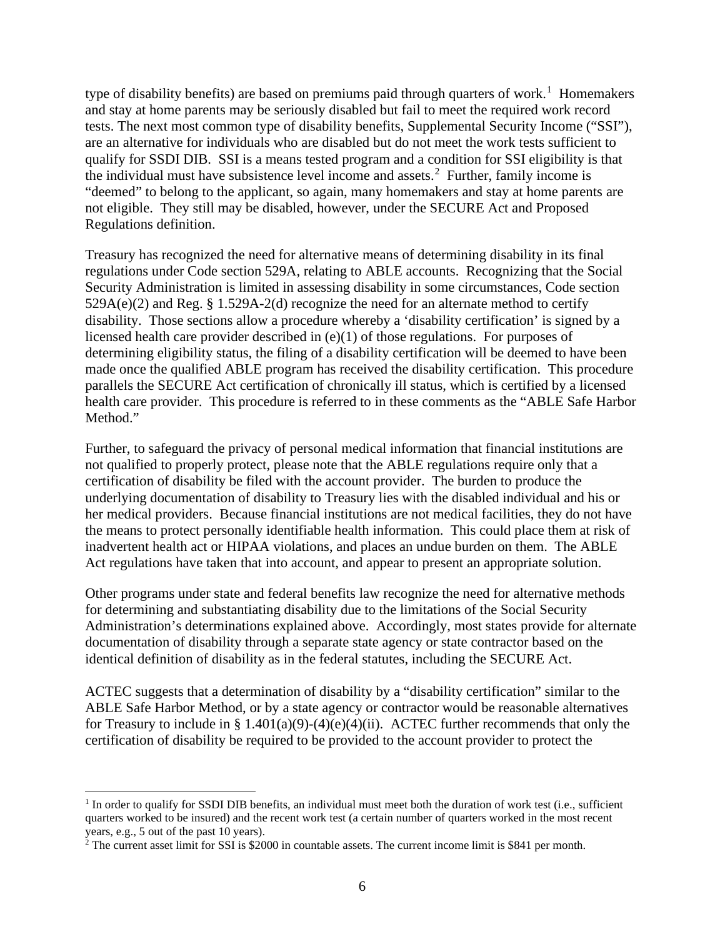type of disability benefits) are based on premiums paid through quarters of work.<sup>[1](#page-8-0)</sup> Homemakers and stay at home parents may be seriously disabled but fail to meet the required work record tests. The next most common type of disability benefits, Supplemental Security Income ("SSI"), are an alternative for individuals who are disabled but do not meet the work tests sufficient to qualify for SSDI DIB. SSI is a means tested program and a condition for SSI eligibility is that the individual must have subsistence level income and assets.[2](#page-8-1) Further, family income is "deemed" to belong to the applicant, so again, many homemakers and stay at home parents are not eligible. They still may be disabled, however, under the SECURE Act and Proposed Regulations definition.

Treasury has recognized the need for alternative means of determining disability in its final regulations under Code section 529A, relating to ABLE accounts. Recognizing that the Social Security Administration is limited in assessing disability in some circumstances, Code section  $529A(e)(2)$  and Reg. § 1.529A-2(d) recognize the need for an alternate method to certify disability. Those sections allow a procedure whereby a 'disability certification' is signed by a licensed health care provider described in (e)(1) of those regulations. For purposes of determining eligibility status, the filing of a disability certification will be deemed to have been made once the qualified ABLE program has received the disability certification. This procedure parallels the SECURE Act certification of chronically ill status, which is certified by a licensed health care provider. This procedure is referred to in these comments as the "ABLE Safe Harbor Method."

Further, to safeguard the privacy of personal medical information that financial institutions are not qualified to properly protect, please note that the ABLE regulations require only that a certification of disability be filed with the account provider. The burden to produce the underlying documentation of disability to Treasury lies with the disabled individual and his or her medical providers. Because financial institutions are not medical facilities, they do not have the means to protect personally identifiable health information. This could place them at risk of inadvertent health act or HIPAA violations, and places an undue burden on them. The ABLE Act regulations have taken that into account, and appear to present an appropriate solution.

Other programs under state and federal benefits law recognize the need for alternative methods for determining and substantiating disability due to the limitations of the Social Security Administration's determinations explained above. Accordingly, most states provide for alternate documentation of disability through a separate state agency or state contractor based on the identical definition of disability as in the federal statutes, including the SECURE Act.

ACTEC suggests that a determination of disability by a "disability certification" similar to the ABLE Safe Harbor Method, or by a state agency or contractor would be reasonable alternatives for Treasury to include in § 1.401(a)(9)-(4)(e)(4)(ii). ACTEC further recommends that only the certification of disability be required to be provided to the account provider to protect the

<span id="page-8-0"></span> $1$  In order to qualify for SSDI DIB benefits, an individual must meet both the duration of work test (i.e., sufficient quarters worked to be insured) and the recent work test (a certain number of quarters worked in the most recent years, e.g., 5 out of the past 10 years).

<span id="page-8-1"></span> $2$  The current asset limit for SSI is \$2000 in countable assets. The current income limit is \$841 per month.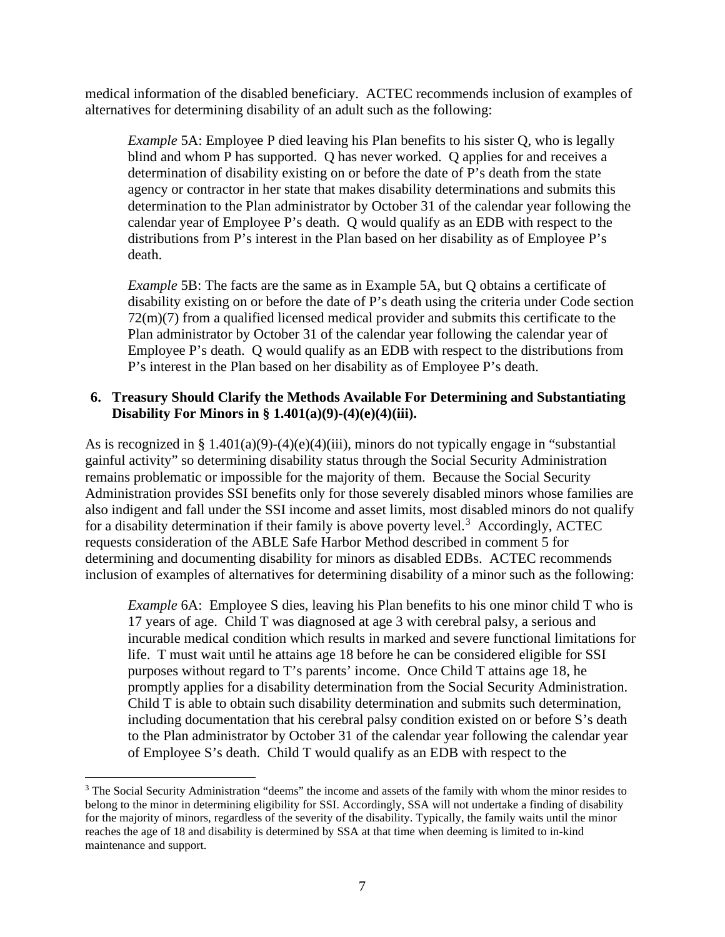medical information of the disabled beneficiary. ACTEC recommends inclusion of examples of alternatives for determining disability of an adult such as the following:

*Example* 5A: Employee P died leaving his Plan benefits to his sister Q, who is legally blind and whom P has supported. Q has never worked. Q applies for and receives a determination of disability existing on or before the date of P's death from the state agency or contractor in her state that makes disability determinations and submits this determination to the Plan administrator by October 31 of the calendar year following the calendar year of Employee P's death. Q would qualify as an EDB with respect to the distributions from P's interest in the Plan based on her disability as of Employee P's death.

*Example* 5B: The facts are the same as in Example 5A, but Q obtains a certificate of disability existing on or before the date of P's death using the criteria under Code section 72(m)(7) from a qualified licensed medical provider and submits this certificate to the Plan administrator by October 31 of the calendar year following the calendar year of Employee P's death. Q would qualify as an EDB with respect to the distributions from P's interest in the Plan based on her disability as of Employee P's death.

#### <span id="page-9-0"></span>**6. Treasury Should Clarify the Methods Available For Determining and Substantiating Disability For Minors in § 1.401(a)(9)-(4)(e)(4)(iii).**

As is recognized in § 1.401(a)(9)-(4)(e)(4)(iii), minors do not typically engage in "substantial gainful activity" so determining disability status through the Social Security Administration remains problematic or impossible for the majority of them. Because the Social Security Administration provides SSI benefits only for those severely disabled minors whose families are also indigent and fall under the SSI income and asset limits, most disabled minors do not qualify for a disability determination if their family is above poverty level.<sup>[3](#page-9-1)</sup> Accordingly, ACTEC requests consideration of the ABLE Safe Harbor Method described in comment 5 for determining and documenting disability for minors as disabled EDBs. ACTEC recommends inclusion of examples of alternatives for determining disability of a minor such as the following:

*Example* 6A: Employee S dies, leaving his Plan benefits to his one minor child T who is 17 years of age. Child T was diagnosed at age 3 with cerebral palsy, a serious and incurable medical condition which results in marked and severe functional limitations for life. T must wait until he attains age 18 before he can be considered eligible for SSI purposes without regard to T's parents' income. Once Child T attains age 18, he promptly applies for a disability determination from the Social Security Administration. Child T is able to obtain such disability determination and submits such determination, including documentation that his cerebral palsy condition existed on or before S's death to the Plan administrator by October 31 of the calendar year following the calendar year of Employee S's death. Child T would qualify as an EDB with respect to the

<span id="page-9-1"></span><sup>&</sup>lt;sup>3</sup> The Social Security Administration "deems" the income and assets of the family with whom the minor resides to belong to the minor in determining eligibility for SSI. Accordingly, SSA will not undertake a finding of disability for the majority of minors, regardless of the severity of the disability. Typically, the family waits until the minor reaches the age of 18 and disability is determined by SSA at that time when deeming is limited to in-kind maintenance and support.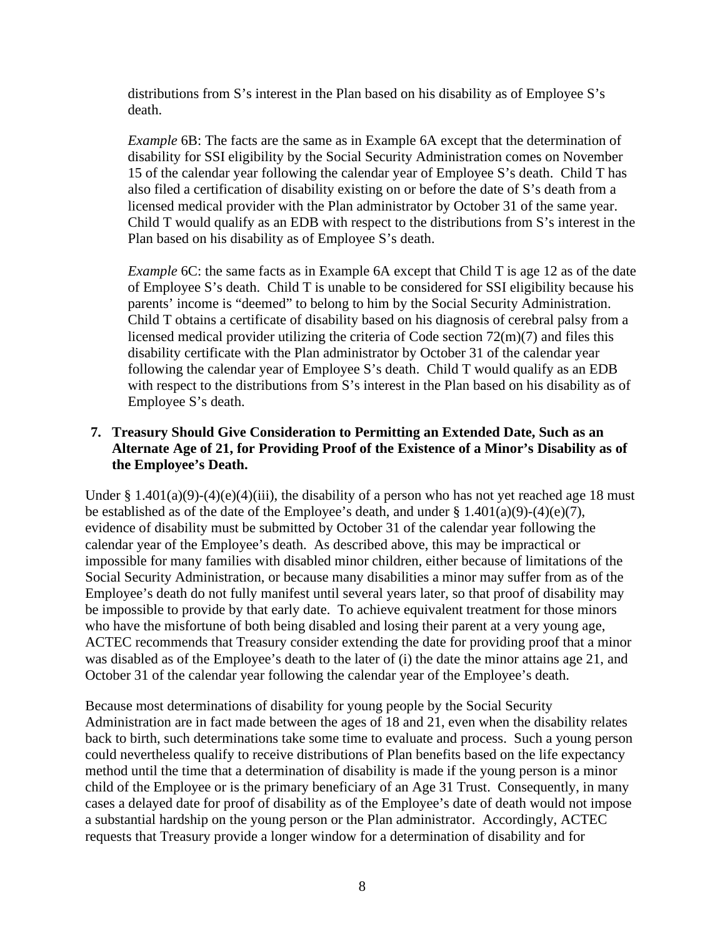distributions from S's interest in the Plan based on his disability as of Employee S's death.

*Example* 6B: The facts are the same as in Example 6A except that the determination of disability for SSI eligibility by the Social Security Administration comes on November 15 of the calendar year following the calendar year of Employee S's death. Child T has also filed a certification of disability existing on or before the date of S's death from a licensed medical provider with the Plan administrator by October 31 of the same year. Child T would qualify as an EDB with respect to the distributions from S's interest in the Plan based on his disability as of Employee S's death.

*Example* 6C: the same facts as in Example 6A except that Child T is age 12 as of the date of Employee S's death. Child T is unable to be considered for SSI eligibility because his parents' income is "deemed" to belong to him by the Social Security Administration. Child T obtains a certificate of disability based on his diagnosis of cerebral palsy from a licensed medical provider utilizing the criteria of Code section 72(m)(7) and files this disability certificate with the Plan administrator by October 31 of the calendar year following the calendar year of Employee S's death. Child T would qualify as an EDB with respect to the distributions from S's interest in the Plan based on his disability as of Employee S's death.

#### <span id="page-10-0"></span>**7. Treasury Should Give Consideration to Permitting an Extended Date, Such as an Alternate Age of 21, for Providing Proof of the Existence of a Minor's Disability as of the Employee's Death.**

Under § 1.401(a)(9)-(4)(e)(4)(iii), the disability of a person who has not yet reached age 18 must be established as of the date of the Employee's death, and under  $\S 1.401(a)(9)-(4)(e)(7)$ , evidence of disability must be submitted by October 31 of the calendar year following the calendar year of the Employee's death. As described above, this may be impractical or impossible for many families with disabled minor children, either because of limitations of the Social Security Administration, or because many disabilities a minor may suffer from as of the Employee's death do not fully manifest until several years later, so that proof of disability may be impossible to provide by that early date. To achieve equivalent treatment for those minors who have the misfortune of both being disabled and losing their parent at a very young age, ACTEC recommends that Treasury consider extending the date for providing proof that a minor was disabled as of the Employee's death to the later of (i) the date the minor attains age 21, and October 31 of the calendar year following the calendar year of the Employee's death.

Because most determinations of disability for young people by the Social Security Administration are in fact made between the ages of 18 and 21, even when the disability relates back to birth, such determinations take some time to evaluate and process. Such a young person could nevertheless qualify to receive distributions of Plan benefits based on the life expectancy method until the time that a determination of disability is made if the young person is a minor child of the Employee or is the primary beneficiary of an Age 31 Trust. Consequently, in many cases a delayed date for proof of disability as of the Employee's date of death would not impose a substantial hardship on the young person or the Plan administrator. Accordingly, ACTEC requests that Treasury provide a longer window for a determination of disability and for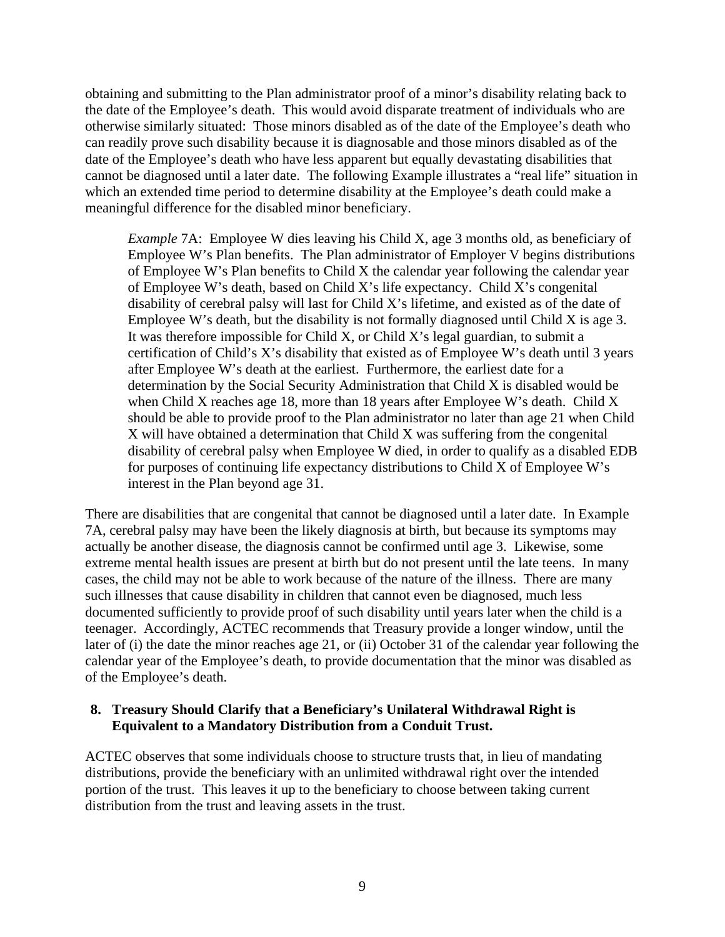obtaining and submitting to the Plan administrator proof of a minor's disability relating back to the date of the Employee's death. This would avoid disparate treatment of individuals who are otherwise similarly situated: Those minors disabled as of the date of the Employee's death who can readily prove such disability because it is diagnosable and those minors disabled as of the date of the Employee's death who have less apparent but equally devastating disabilities that cannot be diagnosed until a later date. The following Example illustrates a "real life" situation in which an extended time period to determine disability at the Employee's death could make a meaningful difference for the disabled minor beneficiary.

*Example* 7A: Employee W dies leaving his Child X, age 3 months old, as beneficiary of Employee W's Plan benefits. The Plan administrator of Employer V begins distributions of Employee W's Plan benefits to Child X the calendar year following the calendar year of Employee W's death, based on Child X's life expectancy. Child X's congenital disability of cerebral palsy will last for Child X's lifetime, and existed as of the date of Employee W's death, but the disability is not formally diagnosed until Child X is age 3. It was therefore impossible for Child X, or Child X's legal guardian, to submit a certification of Child's X's disability that existed as of Employee W's death until 3 years after Employee W's death at the earliest. Furthermore, the earliest date for a determination by the Social Security Administration that Child X is disabled would be when Child X reaches age 18, more than 18 years after Employee W's death. Child X should be able to provide proof to the Plan administrator no later than age 21 when Child X will have obtained a determination that Child X was suffering from the congenital disability of cerebral palsy when Employee W died, in order to qualify as a disabled EDB for purposes of continuing life expectancy distributions to Child X of Employee W's interest in the Plan beyond age 31.

There are disabilities that are congenital that cannot be diagnosed until a later date. In Example 7A, cerebral palsy may have been the likely diagnosis at birth, but because its symptoms may actually be another disease, the diagnosis cannot be confirmed until age 3. Likewise, some extreme mental health issues are present at birth but do not present until the late teens. In many cases, the child may not be able to work because of the nature of the illness. There are many such illnesses that cause disability in children that cannot even be diagnosed, much less documented sufficiently to provide proof of such disability until years later when the child is a teenager. Accordingly, ACTEC recommends that Treasury provide a longer window, until the later of (i) the date the minor reaches age 21, or (ii) October 31 of the calendar year following the calendar year of the Employee's death, to provide documentation that the minor was disabled as of the Employee's death.

#### <span id="page-11-0"></span>**8. Treasury Should Clarify that a Beneficiary's Unilateral Withdrawal Right is Equivalent to a Mandatory Distribution from a Conduit Trust.**

ACTEC observes that some individuals choose to structure trusts that, in lieu of mandating distributions, provide the beneficiary with an unlimited withdrawal right over the intended portion of the trust. This leaves it up to the beneficiary to choose between taking current distribution from the trust and leaving assets in the trust.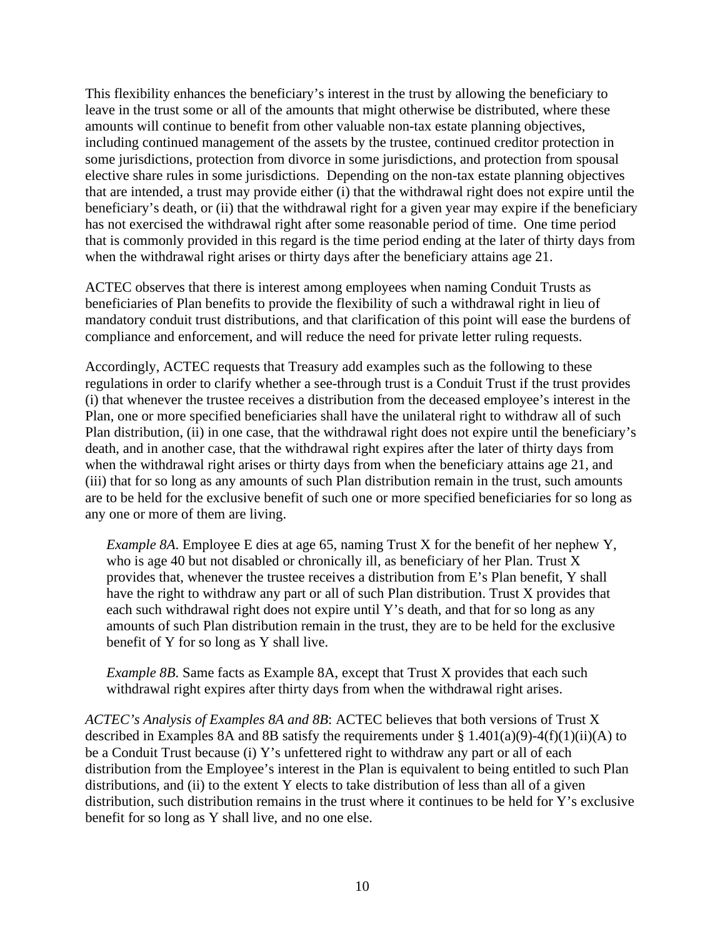This flexibility enhances the beneficiary's interest in the trust by allowing the beneficiary to leave in the trust some or all of the amounts that might otherwise be distributed, where these amounts will continue to benefit from other valuable non-tax estate planning objectives, including continued management of the assets by the trustee, continued creditor protection in some jurisdictions, protection from divorce in some jurisdictions, and protection from spousal elective share rules in some jurisdictions. Depending on the non-tax estate planning objectives that are intended, a trust may provide either (i) that the withdrawal right does not expire until the beneficiary's death, or (ii) that the withdrawal right for a given year may expire if the beneficiary has not exercised the withdrawal right after some reasonable period of time. One time period that is commonly provided in this regard is the time period ending at the later of thirty days from when the withdrawal right arises or thirty days after the beneficiary attains age 21.

ACTEC observes that there is interest among employees when naming Conduit Trusts as beneficiaries of Plan benefits to provide the flexibility of such a withdrawal right in lieu of mandatory conduit trust distributions, and that clarification of this point will ease the burdens of compliance and enforcement, and will reduce the need for private letter ruling requests.

Accordingly, ACTEC requests that Treasury add examples such as the following to these regulations in order to clarify whether a see-through trust is a Conduit Trust if the trust provides (i) that whenever the trustee receives a distribution from the deceased employee's interest in the Plan, one or more specified beneficiaries shall have the unilateral right to withdraw all of such Plan distribution, (ii) in one case, that the withdrawal right does not expire until the beneficiary's death, and in another case, that the withdrawal right expires after the later of thirty days from when the withdrawal right arises or thirty days from when the beneficiary attains age 21, and (iii) that for so long as any amounts of such Plan distribution remain in the trust, such amounts are to be held for the exclusive benefit of such one or more specified beneficiaries for so long as any one or more of them are living.

*Example 8A*. Employee E dies at age 65, naming Trust X for the benefit of her nephew Y, who is age 40 but not disabled or chronically ill, as beneficiary of her Plan. Trust X provides that, whenever the trustee receives a distribution from E's Plan benefit, Y shall have the right to withdraw any part or all of such Plan distribution. Trust X provides that each such withdrawal right does not expire until Y's death, and that for so long as any amounts of such Plan distribution remain in the trust, they are to be held for the exclusive benefit of Y for so long as Y shall live.

*Example 8B*. Same facts as Example 8A, except that Trust X provides that each such withdrawal right expires after thirty days from when the withdrawal right arises.

*ACTEC's Analysis of Examples 8A and 8B*: ACTEC believes that both versions of Trust X described in Examples 8A and 8B satisfy the requirements under  $\S 1.401(a)(9) - 4(f)(1)(ii)(A)$  to be a Conduit Trust because (i) Y's unfettered right to withdraw any part or all of each distribution from the Employee's interest in the Plan is equivalent to being entitled to such Plan distributions, and (ii) to the extent Y elects to take distribution of less than all of a given distribution, such distribution remains in the trust where it continues to be held for Y's exclusive benefit for so long as Y shall live, and no one else.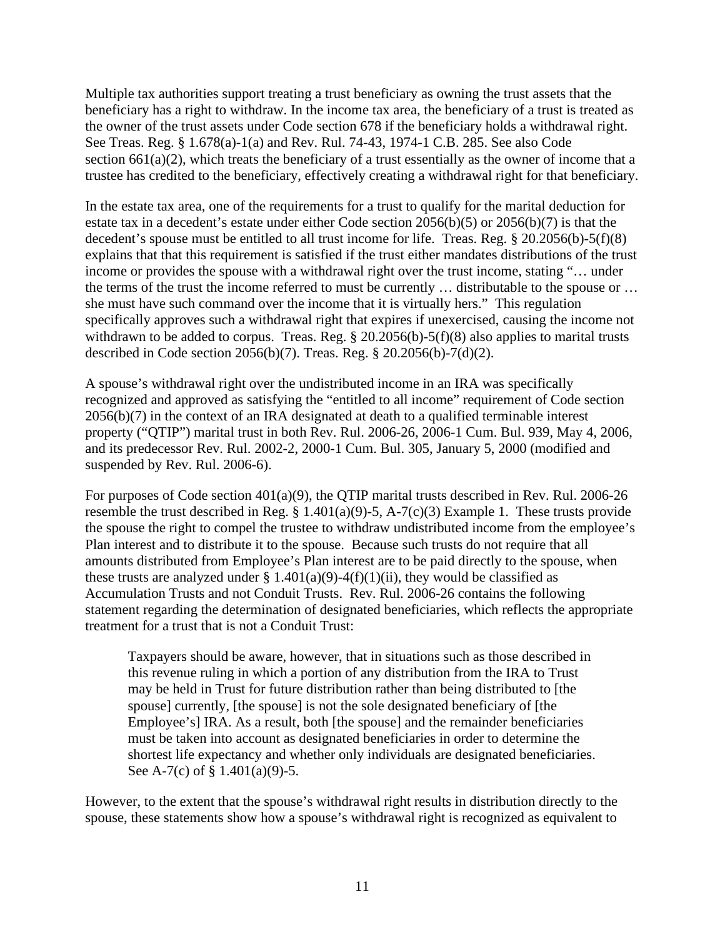Multiple tax authorities support treating a trust beneficiary as owning the trust assets that the beneficiary has a right to withdraw. In the income tax area, the beneficiary of a trust is treated as the owner of the trust assets under Code section 678 if the beneficiary holds a withdrawal right. See Treas. Reg. § 1.678(a)-1(a) and Rev. Rul. 74-43, 1974-1 C.B. 285. See also Code section  $661(a)(2)$ , which treats the beneficiary of a trust essentially as the owner of income that a trustee has credited to the beneficiary, effectively creating a withdrawal right for that beneficiary.

In the estate tax area, one of the requirements for a trust to qualify for the marital deduction for estate tax in a decedent's estate under either Code section 2056(b)(5) or 2056(b)(7) is that the decedent's spouse must be entitled to all trust income for life. Treas. Reg. § 20.2056(b)-5(f)(8) explains that that this requirement is satisfied if the trust either mandates distributions of the trust income or provides the spouse with a withdrawal right over the trust income, stating "… under the terms of the trust the income referred to must be currently … distributable to the spouse or … she must have such command over the income that it is virtually hers." This regulation specifically approves such a withdrawal right that expires if unexercised, causing the income not withdrawn to be added to corpus. Treas. Reg. § 20.2056(b)-5(f)(8) also applies to marital trusts described in Code section 2056(b)(7). Treas. Reg. § 20.2056(b)-7(d)(2).

A spouse's withdrawal right over the undistributed income in an IRA was specifically recognized and approved as satisfying the "entitled to all income" requirement of Code section 2056(b)(7) in the context of an IRA designated at death to a qualified terminable interest property ("QTIP") marital trust in both Rev. Rul. 2006-26, 2006-1 Cum. Bul. 939, May 4, 2006, and its predecessor Rev. Rul. 2002-2, 2000-1 Cum. Bul. 305, January 5, 2000 (modified and suspended by Rev. Rul. 2006-6).

For purposes of Code section 401(a)(9), the QTIP marital trusts described in Rev. Rul. 2006-26 resemble the trust described in Reg. § 1.401(a)(9)-5, A-7(c)(3) Example 1. These trusts provide the spouse the right to compel the trustee to withdraw undistributed income from the employee's Plan interest and to distribute it to the spouse. Because such trusts do not require that all amounts distributed from Employee's Plan interest are to be paid directly to the spouse, when these trusts are analyzed under § 1.401(a)(9)-4(f)(1)(ii), they would be classified as Accumulation Trusts and not Conduit Trusts. Rev. Rul. 2006-26 contains the following statement regarding the determination of designated beneficiaries, which reflects the appropriate treatment for a trust that is not a Conduit Trust:

Taxpayers should be aware, however, that in situations such as those described in this revenue ruling in which a portion of any distribution from the IRA to Trust may be held in Trust for future distribution rather than being distributed to [the spouse] currently, [the spouse] is not the sole designated beneficiary of [the Employee's] IRA. As a result, both [the spouse] and the remainder beneficiaries must be taken into account as designated beneficiaries in order to determine the shortest life expectancy and whether only individuals are designated beneficiaries. See A-7(c) of § 1.401(a)(9)-5.

However, to the extent that the spouse's withdrawal right results in distribution directly to the spouse, these statements show how a spouse's withdrawal right is recognized as equivalent to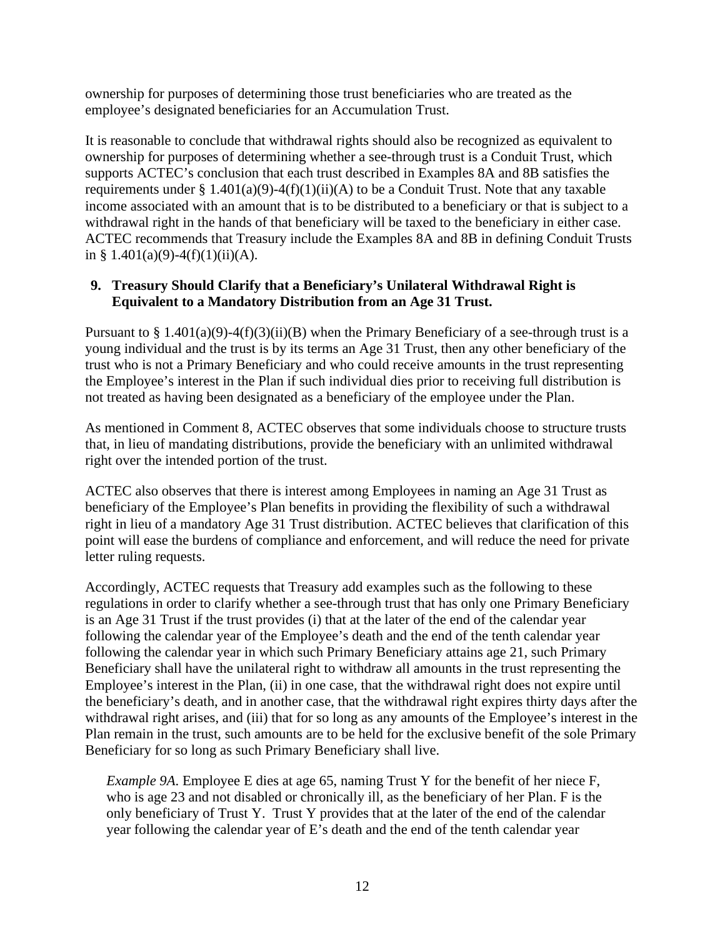ownership for purposes of determining those trust beneficiaries who are treated as the employee's designated beneficiaries for an Accumulation Trust.

It is reasonable to conclude that withdrawal rights should also be recognized as equivalent to ownership for purposes of determining whether a see-through trust is a Conduit Trust, which supports ACTEC's conclusion that each trust described in Examples 8A and 8B satisfies the requirements under § 1.401(a)(9)-4(f)(1)(ii)(A) to be a Conduit Trust. Note that any taxable income associated with an amount that is to be distributed to a beneficiary or that is subject to a withdrawal right in the hands of that beneficiary will be taxed to the beneficiary in either case. ACTEC recommends that Treasury include the Examples 8A and 8B in defining Conduit Trusts in § 1.401(a)(9)-4(f)(1)(ii)(A).

#### <span id="page-14-0"></span>**9. Treasury Should Clarify that a Beneficiary's Unilateral Withdrawal Right is Equivalent to a Mandatory Distribution from an Age 31 Trust.**

Pursuant to  $\S 1.401(a)(9)-4(f)(3)(ii)(B)$  when the Primary Beneficiary of a see-through trust is a young individual and the trust is by its terms an Age 31 Trust, then any other beneficiary of the trust who is not a Primary Beneficiary and who could receive amounts in the trust representing the Employee's interest in the Plan if such individual dies prior to receiving full distribution is not treated as having been designated as a beneficiary of the employee under the Plan.

As mentioned in Comment 8, ACTEC observes that some individuals choose to structure trusts that, in lieu of mandating distributions, provide the beneficiary with an unlimited withdrawal right over the intended portion of the trust.

ACTEC also observes that there is interest among Employees in naming an Age 31 Trust as beneficiary of the Employee's Plan benefits in providing the flexibility of such a withdrawal right in lieu of a mandatory Age 31 Trust distribution. ACTEC believes that clarification of this point will ease the burdens of compliance and enforcement, and will reduce the need for private letter ruling requests.

Accordingly, ACTEC requests that Treasury add examples such as the following to these regulations in order to clarify whether a see-through trust that has only one Primary Beneficiary is an Age 31 Trust if the trust provides (i) that at the later of the end of the calendar year following the calendar year of the Employee's death and the end of the tenth calendar year following the calendar year in which such Primary Beneficiary attains age 21, such Primary Beneficiary shall have the unilateral right to withdraw all amounts in the trust representing the Employee's interest in the Plan, (ii) in one case, that the withdrawal right does not expire until the beneficiary's death, and in another case, that the withdrawal right expires thirty days after the withdrawal right arises, and (iii) that for so long as any amounts of the Employee's interest in the Plan remain in the trust, such amounts are to be held for the exclusive benefit of the sole Primary Beneficiary for so long as such Primary Beneficiary shall live.

*Example 9A*. Employee E dies at age 65, naming Trust Y for the benefit of her niece F, who is age 23 and not disabled or chronically ill, as the beneficiary of her Plan. F is the only beneficiary of Trust Y. Trust Y provides that at the later of the end of the calendar year following the calendar year of E's death and the end of the tenth calendar year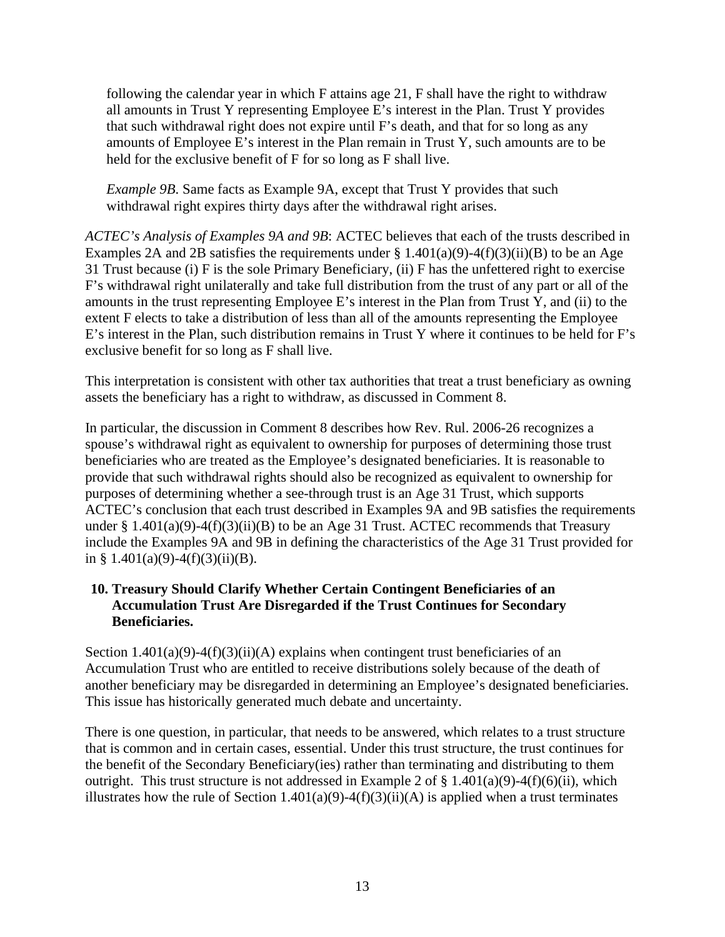following the calendar year in which F attains age 21, F shall have the right to withdraw all amounts in Trust Y representing Employee E's interest in the Plan. Trust Y provides that such withdrawal right does not expire until F's death, and that for so long as any amounts of Employee E's interest in the Plan remain in Trust Y, such amounts are to be held for the exclusive benefit of F for so long as F shall live.

*Example 9B*. Same facts as Example 9A, except that Trust Y provides that such withdrawal right expires thirty days after the withdrawal right arises.

*ACTEC's Analysis of Examples 9A and 9B*: ACTEC believes that each of the trusts described in Examples 2A and 2B satisfies the requirements under  $\S 1.401(a)(9) - 4(f)(3)(ii)(B)$  to be an Age 31 Trust because (i) F is the sole Primary Beneficiary, (ii) F has the unfettered right to exercise F's withdrawal right unilaterally and take full distribution from the trust of any part or all of the amounts in the trust representing Employee E's interest in the Plan from Trust Y, and (ii) to the extent F elects to take a distribution of less than all of the amounts representing the Employee E's interest in the Plan, such distribution remains in Trust Y where it continues to be held for F's exclusive benefit for so long as F shall live.

This interpretation is consistent with other tax authorities that treat a trust beneficiary as owning assets the beneficiary has a right to withdraw, as discussed in Comment 8.

In particular, the discussion in Comment 8 describes how Rev. Rul. 2006-26 recognizes a spouse's withdrawal right as equivalent to ownership for purposes of determining those trust beneficiaries who are treated as the Employee's designated beneficiaries. It is reasonable to provide that such withdrawal rights should also be recognized as equivalent to ownership for purposes of determining whether a see-through trust is an Age 31 Trust, which supports ACTEC's conclusion that each trust described in Examples 9A and 9B satisfies the requirements under § 1.401(a)(9)-4(f)(3)(ii)(B) to be an Age 31 Trust. ACTEC recommends that Treasury include the Examples 9A and 9B in defining the characteristics of the Age 31 Trust provided for in § 1.401(a)(9)-4(f)(3)(ii)(B).

#### <span id="page-15-0"></span>**10. Treasury Should Clarify Whether Certain Contingent Beneficiaries of an Accumulation Trust Are Disregarded if the Trust Continues for Secondary Beneficiaries.**

Section  $1.401(a)(9)-4(f)(3)(ii)(A)$  explains when contingent trust beneficiaries of an Accumulation Trust who are entitled to receive distributions solely because of the death of another beneficiary may be disregarded in determining an Employee's designated beneficiaries. This issue has historically generated much debate and uncertainty.

There is one question, in particular, that needs to be answered, which relates to a trust structure that is common and in certain cases, essential. Under this trust structure, the trust continues for the benefit of the Secondary Beneficiary(ies) rather than terminating and distributing to them outright. This trust structure is not addressed in Example 2 of  $\S 1.401(a)(9) - 4(f)(6)(ii)$ , which illustrates how the rule of Section  $1.401(a)(9) - 4(f)(3)(ii)(A)$  is applied when a trust terminates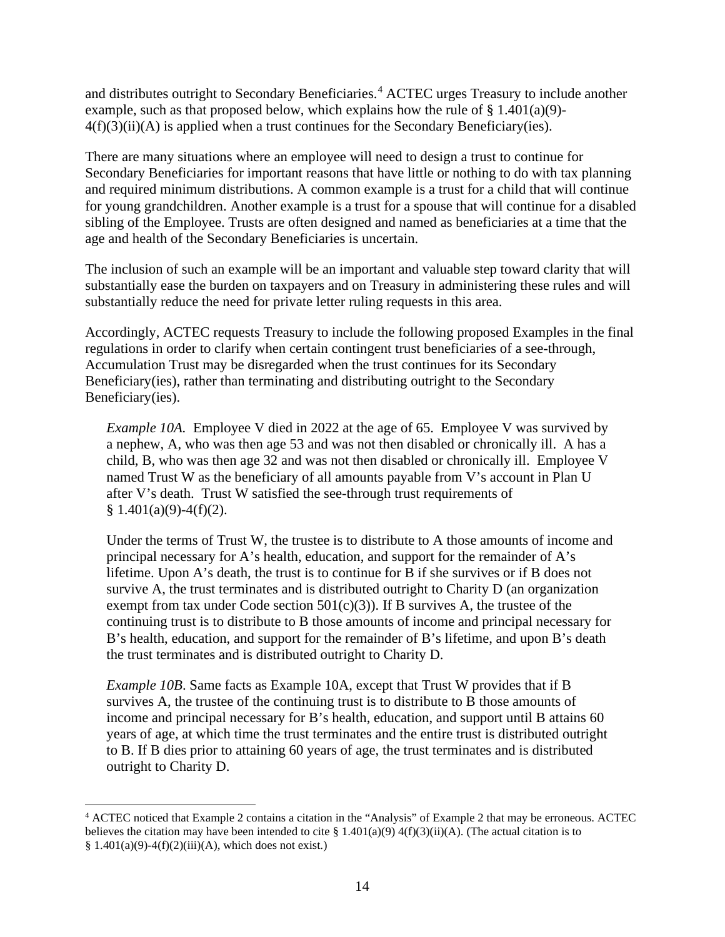and distributes outright to Secondary Beneficiaries.<sup>[4](#page-16-0)</sup> ACTEC urges Treasury to include another example, such as that proposed below, which explains how the rule of  $\S$  1.401(a)(9)- $4(f)(3)(ii)(A)$  is applied when a trust continues for the Secondary Beneficiary(ies).

There are many situations where an employee will need to design a trust to continue for Secondary Beneficiaries for important reasons that have little or nothing to do with tax planning and required minimum distributions. A common example is a trust for a child that will continue for young grandchildren. Another example is a trust for a spouse that will continue for a disabled sibling of the Employee. Trusts are often designed and named as beneficiaries at a time that the age and health of the Secondary Beneficiaries is uncertain.

The inclusion of such an example will be an important and valuable step toward clarity that will substantially ease the burden on taxpayers and on Treasury in administering these rules and will substantially reduce the need for private letter ruling requests in this area.

Accordingly, ACTEC requests Treasury to include the following proposed Examples in the final regulations in order to clarify when certain contingent trust beneficiaries of a see-through, Accumulation Trust may be disregarded when the trust continues for its Secondary Beneficiary(ies), rather than terminating and distributing outright to the Secondary Beneficiary(ies).

*Example 10A.* Employee V died in 2022 at the age of 65. Employee V was survived by a nephew, A, who was then age 53 and was not then disabled or chronically ill. A has a child, B, who was then age 32 and was not then disabled or chronically ill. Employee V named Trust W as the beneficiary of all amounts payable from V's account in Plan U after V's death. Trust W satisfied the see-through trust requirements of  $§ 1.401(a)(9)-4(f)(2).$ 

Under the terms of Trust W, the trustee is to distribute to A those amounts of income and principal necessary for A's health, education, and support for the remainder of A's lifetime. Upon A's death, the trust is to continue for B if she survives or if B does not survive A, the trust terminates and is distributed outright to Charity D (an organization exempt from tax under Code section  $501(c)(3)$ ). If B survives A, the trustee of the continuing trust is to distribute to B those amounts of income and principal necessary for B's health, education, and support for the remainder of B's lifetime, and upon B's death the trust terminates and is distributed outright to Charity D.

*Example 10B*. Same facts as Example 10A, except that Trust W provides that if B survives A, the trustee of the continuing trust is to distribute to B those amounts of income and principal necessary for B's health, education, and support until B attains 60 years of age, at which time the trust terminates and the entire trust is distributed outright to B. If B dies prior to attaining 60 years of age, the trust terminates and is distributed outright to Charity D.

<span id="page-16-0"></span><sup>4</sup> ACTEC noticed that Example 2 contains a citation in the "Analysis" of Example 2 that may be erroneous. ACTEC believes the citation may have been intended to cite § 1.401(a)(9) 4(f)(3)(ii)(A). (The actual citation is to  $§ 1.401(a)(9)-4(f)(2)(iii)(A)$ , which does not exist.)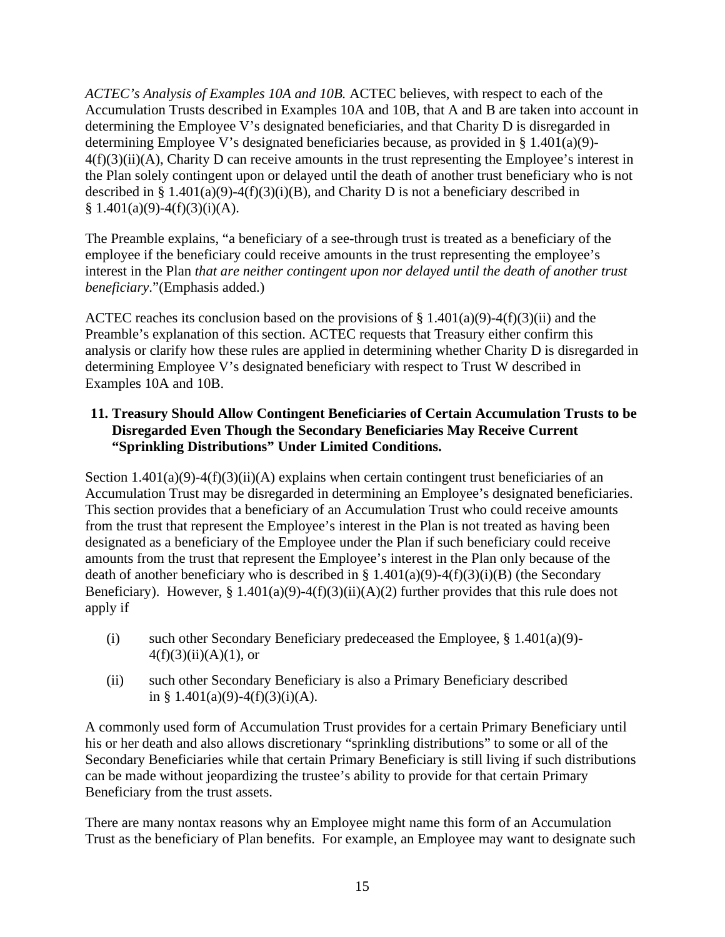*ACTEC's Analysis of Examples 10A and 10B.* ACTEC believes, with respect to each of the Accumulation Trusts described in Examples 10A and 10B, that A and B are taken into account in determining the Employee V's designated beneficiaries, and that Charity D is disregarded in determining Employee V's designated beneficiaries because, as provided in  $\S 1.401(a)(9)$ -4(f)(3)(ii)(A), Charity D can receive amounts in the trust representing the Employee's interest in the Plan solely contingent upon or delayed until the death of another trust beneficiary who is not described in § 1.401(a)(9)-4(f)(3)(i)(B), and Charity D is not a beneficiary described in  $§ 1.401(a)(9)-4(f)(3)(i)(A).$ 

The Preamble explains, "a beneficiary of a see-through trust is treated as a beneficiary of the employee if the beneficiary could receive amounts in the trust representing the employee's interest in the Plan *that are neither contingent upon nor delayed until the death of another trust beneficiary*."(Emphasis added.)

ACTEC reaches its conclusion based on the provisions of  $\S 1.401(a)(9) - 4(f)(3)(ii)$  and the Preamble's explanation of this section. ACTEC requests that Treasury either confirm this analysis or clarify how these rules are applied in determining whether Charity D is disregarded in determining Employee V's designated beneficiary with respect to Trust W described in Examples 10A and 10B.

#### <span id="page-17-0"></span>**11. Treasury Should Allow Contingent Beneficiaries of Certain Accumulation Trusts to be Disregarded Even Though the Secondary Beneficiaries May Receive Current "Sprinkling Distributions" Under Limited Conditions.**

Section  $1.401(a)(9)-4(f)(3)(ii)(A)$  explains when certain contingent trust beneficiaries of an Accumulation Trust may be disregarded in determining an Employee's designated beneficiaries. This section provides that a beneficiary of an Accumulation Trust who could receive amounts from the trust that represent the Employee's interest in the Plan is not treated as having been designated as a beneficiary of the Employee under the Plan if such beneficiary could receive amounts from the trust that represent the Employee's interest in the Plan only because of the death of another beneficiary who is described in § 1.401(a)(9)-4(f)(3)(i)(B) (the Secondary Beneficiary). However, § 1.401(a)(9)-4(f)(3)(ii)(A)(2) further provides that this rule does not apply if

- (i) such other Secondary Beneficiary predeceased the Employee,  $\S 1.401(a)(9)$ - $4(f)(3)(ii)(A)(1)$ , or
- (ii) such other Secondary Beneficiary is also a Primary Beneficiary described in § 1.401(a)(9)-4(f)(3)(i)(A).

A commonly used form of Accumulation Trust provides for a certain Primary Beneficiary until his or her death and also allows discretionary "sprinkling distributions" to some or all of the Secondary Beneficiaries while that certain Primary Beneficiary is still living if such distributions can be made without jeopardizing the trustee's ability to provide for that certain Primary Beneficiary from the trust assets.

There are many nontax reasons why an Employee might name this form of an Accumulation Trust as the beneficiary of Plan benefits. For example, an Employee may want to designate such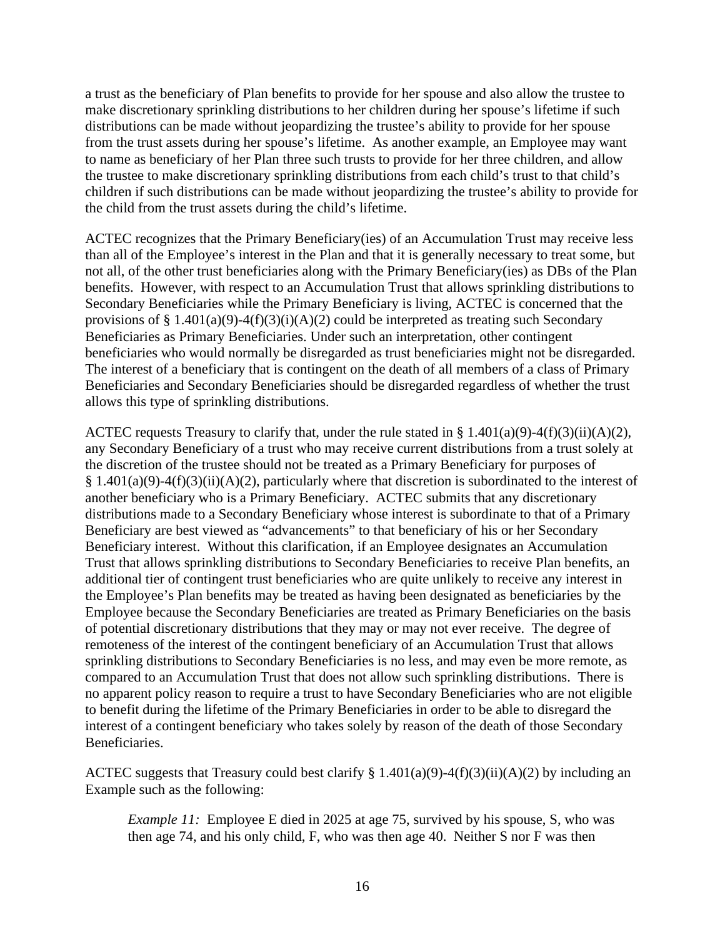a trust as the beneficiary of Plan benefits to provide for her spouse and also allow the trustee to make discretionary sprinkling distributions to her children during her spouse's lifetime if such distributions can be made without jeopardizing the trustee's ability to provide for her spouse from the trust assets during her spouse's lifetime. As another example, an Employee may want to name as beneficiary of her Plan three such trusts to provide for her three children, and allow the trustee to make discretionary sprinkling distributions from each child's trust to that child's children if such distributions can be made without jeopardizing the trustee's ability to provide for the child from the trust assets during the child's lifetime.

ACTEC recognizes that the Primary Beneficiary(ies) of an Accumulation Trust may receive less than all of the Employee's interest in the Plan and that it is generally necessary to treat some, but not all, of the other trust beneficiaries along with the Primary Beneficiary(ies) as DBs of the Plan benefits. However, with respect to an Accumulation Trust that allows sprinkling distributions to Secondary Beneficiaries while the Primary Beneficiary is living, ACTEC is concerned that the provisions of § 1.401(a)(9)-4(f)(3)(i)(A)(2) could be interpreted as treating such Secondary Beneficiaries as Primary Beneficiaries. Under such an interpretation, other contingent beneficiaries who would normally be disregarded as trust beneficiaries might not be disregarded. The interest of a beneficiary that is contingent on the death of all members of a class of Primary Beneficiaries and Secondary Beneficiaries should be disregarded regardless of whether the trust allows this type of sprinkling distributions.

ACTEC requests Treasury to clarify that, under the rule stated in §  $1.401(a)(9)-4(f)(3)(ii)(A)(2)$ , any Secondary Beneficiary of a trust who may receive current distributions from a trust solely at the discretion of the trustee should not be treated as a Primary Beneficiary for purposes of § 1.401(a)(9)-4(f)(3)(ii)(A)(2), particularly where that discretion is subordinated to the interest of another beneficiary who is a Primary Beneficiary. ACTEC submits that any discretionary distributions made to a Secondary Beneficiary whose interest is subordinate to that of a Primary Beneficiary are best viewed as "advancements" to that beneficiary of his or her Secondary Beneficiary interest. Without this clarification, if an Employee designates an Accumulation Trust that allows sprinkling distributions to Secondary Beneficiaries to receive Plan benefits, an additional tier of contingent trust beneficiaries who are quite unlikely to receive any interest in the Employee's Plan benefits may be treated as having been designated as beneficiaries by the Employee because the Secondary Beneficiaries are treated as Primary Beneficiaries on the basis of potential discretionary distributions that they may or may not ever receive. The degree of remoteness of the interest of the contingent beneficiary of an Accumulation Trust that allows sprinkling distributions to Secondary Beneficiaries is no less, and may even be more remote, as compared to an Accumulation Trust that does not allow such sprinkling distributions. There is no apparent policy reason to require a trust to have Secondary Beneficiaries who are not eligible to benefit during the lifetime of the Primary Beneficiaries in order to be able to disregard the interest of a contingent beneficiary who takes solely by reason of the death of those Secondary Beneficiaries.

ACTEC suggests that Treasury could best clarify  $\S 1.401(a)(9) - 4(f)(3)(ii)(A)(2)$  by including an Example such as the following:

*Example 11:* Employee E died in 2025 at age 75, survived by his spouse, S, who was then age 74, and his only child, F, who was then age 40. Neither S nor F was then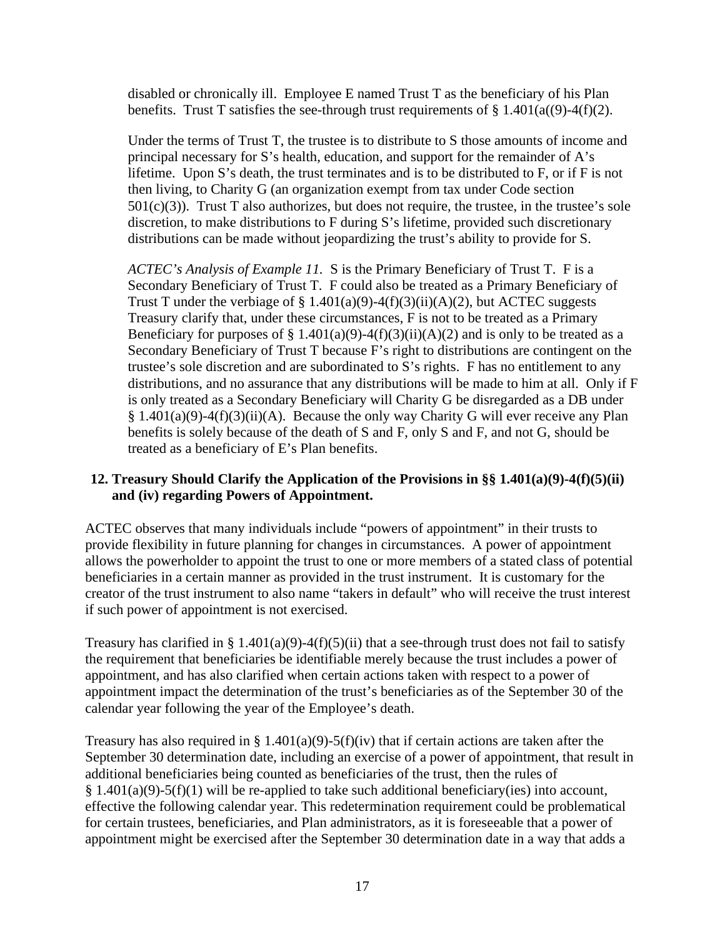disabled or chronically ill. Employee E named Trust T as the beneficiary of his Plan benefits. Trust T satisfies the see-through trust requirements of  $\S 1.401(a((9)-4(f)(2))$ .

Under the terms of Trust T, the trustee is to distribute to S those amounts of income and principal necessary for S's health, education, and support for the remainder of A's lifetime. Upon S's death, the trust terminates and is to be distributed to F, or if F is not then living, to Charity G (an organization exempt from tax under Code section  $501(c)(3)$ ). Trust T also authorizes, but does not require, the trustee, in the trustee's sole discretion, to make distributions to F during S's lifetime, provided such discretionary distributions can be made without jeopardizing the trust's ability to provide for S.

*ACTEC's Analysis of Example 11.* S is the Primary Beneficiary of Trust T. F is a Secondary Beneficiary of Trust T. F could also be treated as a Primary Beneficiary of Trust T under the verbiage of § 1.401(a)(9)-4(f)(3)(ii)(A)(2), but ACTEC suggests Treasury clarify that, under these circumstances, F is not to be treated as a Primary Beneficiary for purposes of § 1.401(a)(9)-4(f)(3)(ii)(A)(2) and is only to be treated as a Secondary Beneficiary of Trust T because F's right to distributions are contingent on the trustee's sole discretion and are subordinated to S's rights. F has no entitlement to any distributions, and no assurance that any distributions will be made to him at all. Only if F is only treated as a Secondary Beneficiary will Charity G be disregarded as a DB under § 1.401(a)(9)-4(f)(3)(ii)(A). Because the only way Charity G will ever receive any Plan benefits is solely because of the death of S and F, only S and F, and not G, should be treated as a beneficiary of E's Plan benefits.

#### <span id="page-19-0"></span>**12. Treasury Should Clarify the Application of the Provisions in §§ 1.401(a)(9)-4(f)(5)(ii) and (iv) regarding Powers of Appointment.**

ACTEC observes that many individuals include "powers of appointment" in their trusts to provide flexibility in future planning for changes in circumstances. A power of appointment allows the powerholder to appoint the trust to one or more members of a stated class of potential beneficiaries in a certain manner as provided in the trust instrument. It is customary for the creator of the trust instrument to also name "takers in default" who will receive the trust interest if such power of appointment is not exercised.

Treasury has clarified in § 1.401(a)(9)-4(f)(5)(ii) that a see-through trust does not fail to satisfy the requirement that beneficiaries be identifiable merely because the trust includes a power of appointment, and has also clarified when certain actions taken with respect to a power of appointment impact the determination of the trust's beneficiaries as of the September 30 of the calendar year following the year of the Employee's death.

Treasury has also required in § 1.401(a)(9)-5(f)(iv) that if certain actions are taken after the September 30 determination date, including an exercise of a power of appointment, that result in additional beneficiaries being counted as beneficiaries of the trust, then the rules of  $§ 1.401(a)(9)-5(f)(1)$  will be re-applied to take such additional beneficiary(ies) into account, effective the following calendar year. This redetermination requirement could be problematical for certain trustees, beneficiaries, and Plan administrators, as it is foreseeable that a power of appointment might be exercised after the September 30 determination date in a way that adds a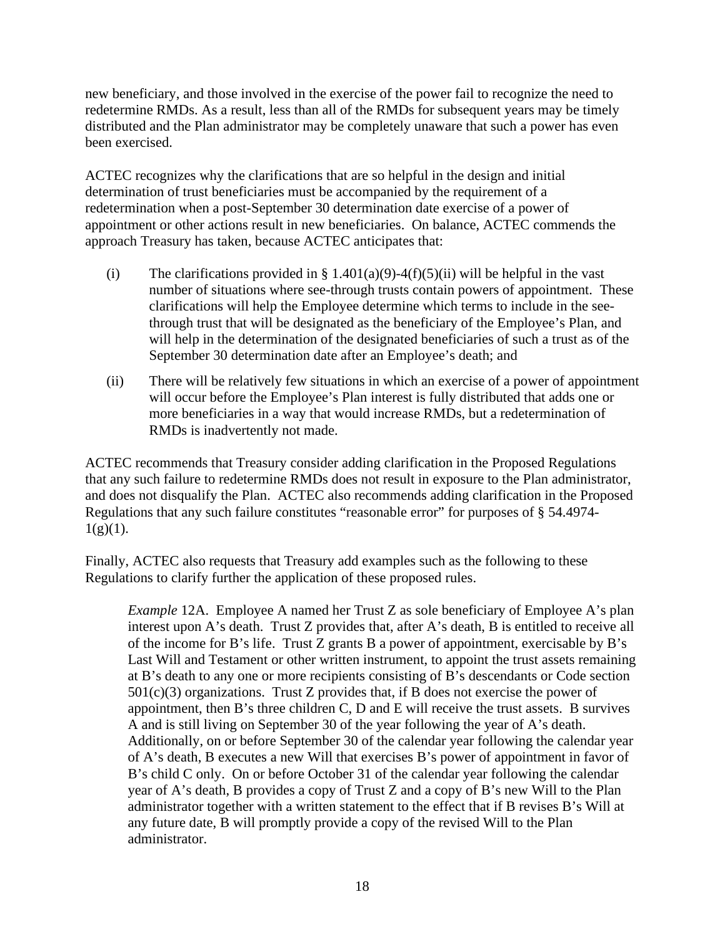new beneficiary, and those involved in the exercise of the power fail to recognize the need to redetermine RMDs. As a result, less than all of the RMDs for subsequent years may be timely distributed and the Plan administrator may be completely unaware that such a power has even been exercised.

ACTEC recognizes why the clarifications that are so helpful in the design and initial determination of trust beneficiaries must be accompanied by the requirement of a redetermination when a post-September 30 determination date exercise of a power of appointment or other actions result in new beneficiaries. On balance, ACTEC commends the approach Treasury has taken, because ACTEC anticipates that:

- (i) The clarifications provided in § 1.401(a)(9)-4(f)(5)(ii) will be helpful in the vast number of situations where see-through trusts contain powers of appointment. These clarifications will help the Employee determine which terms to include in the seethrough trust that will be designated as the beneficiary of the Employee's Plan, and will help in the determination of the designated beneficiaries of such a trust as of the September 30 determination date after an Employee's death; and
- (ii) There will be relatively few situations in which an exercise of a power of appointment will occur before the Employee's Plan interest is fully distributed that adds one or more beneficiaries in a way that would increase RMDs, but a redetermination of RMDs is inadvertently not made.

ACTEC recommends that Treasury consider adding clarification in the Proposed Regulations that any such failure to redetermine RMDs does not result in exposure to the Plan administrator, and does not disqualify the Plan. ACTEC also recommends adding clarification in the Proposed Regulations that any such failure constitutes "reasonable error" for purposes of § 54.4974-  $1(g)(1)$ .

Finally, ACTEC also requests that Treasury add examples such as the following to these Regulations to clarify further the application of these proposed rules.

*Example* 12A. Employee A named her Trust Z as sole beneficiary of Employee A's plan interest upon A's death. Trust Z provides that, after A's death, B is entitled to receive all of the income for B's life. Trust Z grants B a power of appointment, exercisable by B's Last Will and Testament or other written instrument, to appoint the trust assets remaining at B's death to any one or more recipients consisting of B's descendants or Code section  $501(c)(3)$  organizations. Trust Z provides that, if B does not exercise the power of appointment, then B's three children C, D and E will receive the trust assets. B survives A and is still living on September 30 of the year following the year of A's death. Additionally, on or before September 30 of the calendar year following the calendar year of A's death, B executes a new Will that exercises B's power of appointment in favor of B's child C only. On or before October 31 of the calendar year following the calendar year of A's death, B provides a copy of Trust Z and a copy of B's new Will to the Plan administrator together with a written statement to the effect that if B revises B's Will at any future date, B will promptly provide a copy of the revised Will to the Plan administrator.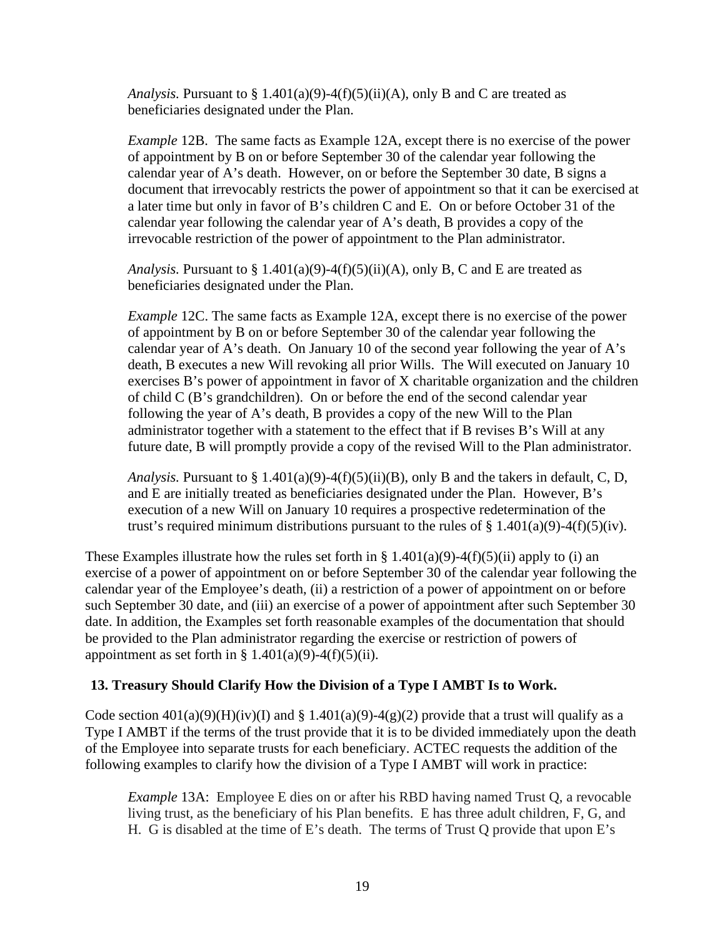*Analysis.* Pursuant to  $\S 1.401(a)(9) - 4(f)(5)(ii)(A)$ , only B and C are treated as beneficiaries designated under the Plan.

*Example* 12B. The same facts as Example 12A, except there is no exercise of the power of appointment by B on or before September 30 of the calendar year following the calendar year of A's death. However, on or before the September 30 date, B signs a document that irrevocably restricts the power of appointment so that it can be exercised at a later time but only in favor of B's children C and E. On or before October 31 of the calendar year following the calendar year of A's death, B provides a copy of the irrevocable restriction of the power of appointment to the Plan administrator.

*Analysis.* Pursuant to  $\S 1.401(a)(9) - 4(f)(5)(ii)(A)$ , only B, C and E are treated as beneficiaries designated under the Plan.

*Example* 12C. The same facts as Example 12A, except there is no exercise of the power of appointment by B on or before September 30 of the calendar year following the calendar year of A's death. On January 10 of the second year following the year of A's death, B executes a new Will revoking all prior Wills. The Will executed on January 10 exercises B's power of appointment in favor of X charitable organization and the children of child C (B's grandchildren). On or before the end of the second calendar year following the year of A's death, B provides a copy of the new Will to the Plan administrator together with a statement to the effect that if B revises B's Will at any future date, B will promptly provide a copy of the revised Will to the Plan administrator.

*Analysis.* Pursuant to § 1.401(a)(9)-4(f)(5)(ii)(B), only B and the takers in default, C, D, and E are initially treated as beneficiaries designated under the Plan. However, B's execution of a new Will on January 10 requires a prospective redetermination of the trust's required minimum distributions pursuant to the rules of  $\S 1.401(a)(9) - 4(f)(5)(iv)$ .

These Examples illustrate how the rules set forth in § 1.401(a)(9)-4(f)(5)(ii) apply to (i) an exercise of a power of appointment on or before September 30 of the calendar year following the calendar year of the Employee's death, (ii) a restriction of a power of appointment on or before such September 30 date, and (iii) an exercise of a power of appointment after such September 30 date. In addition, the Examples set forth reasonable examples of the documentation that should be provided to the Plan administrator regarding the exercise or restriction of powers of appointment as set forth in  $\S$  1.401(a)(9)-4(f)(5)(ii).

#### <span id="page-21-0"></span>**13. Treasury Should Clarify How the Division of a Type I AMBT Is to Work.**

Code section  $401(a)(9)(H)(iv)(I)$  and § 1.401(a)(9)-4(g)(2) provide that a trust will qualify as a Type I AMBT if the terms of the trust provide that it is to be divided immediately upon the death of the Employee into separate trusts for each beneficiary. ACTEC requests the addition of the following examples to clarify how the division of a Type I AMBT will work in practice:

*Example* 13A: Employee E dies on or after his RBD having named Trust Q, a revocable living trust, as the beneficiary of his Plan benefits. E has three adult children, F, G, and H. G is disabled at the time of E's death. The terms of Trust Q provide that upon E's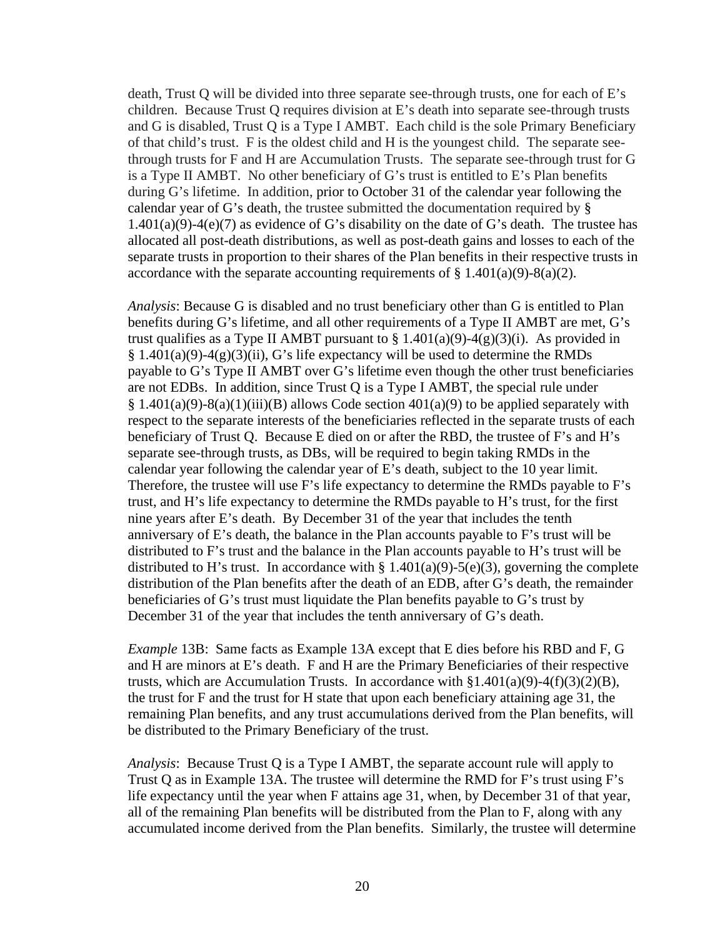death, Trust Q will be divided into three separate see-through trusts, one for each of E's children. Because Trust Q requires division at E's death into separate see-through trusts and G is disabled, Trust Q is a Type I AMBT. Each child is the sole Primary Beneficiary of that child's trust. F is the oldest child and H is the youngest child. The separate seethrough trusts for F and H are Accumulation Trusts. The separate see-through trust for G is a Type II AMBT. No other beneficiary of G's trust is entitled to E's Plan benefits during G's lifetime. In addition, prior to October 31 of the calendar year following the calendar year of G's death, the trustee submitted the documentation required by §  $1.401(a)(9)-4(e)(7)$  as evidence of G's disability on the date of G's death. The trustee has allocated all post-death distributions, as well as post-death gains and losses to each of the separate trusts in proportion to their shares of the Plan benefits in their respective trusts in accordance with the separate accounting requirements of  $\S 1.401(a)(9) - 8(a)(2)$ .

*Analysis*: Because G is disabled and no trust beneficiary other than G is entitled to Plan benefits during G's lifetime, and all other requirements of a Type II AMBT are met, G's trust qualifies as a Type II AMBT pursuant to  $\S 1.401(a)(9) - 4(g)(3)(i)$ . As provided in  $§ 1.401(a)(9)-4(g)(3)(ii)$ , G's life expectancy will be used to determine the RMDs payable to G's Type II AMBT over G's lifetime even though the other trust beneficiaries are not EDBs. In addition, since Trust Q is a Type I AMBT, the special rule under  $§ 1.401(a)(9)-8(a)(1)(iii)(B)$  allows Code section  $401(a)(9)$  to be applied separately with respect to the separate interests of the beneficiaries reflected in the separate trusts of each beneficiary of Trust Q. Because E died on or after the RBD, the trustee of F's and H's separate see-through trusts, as DBs, will be required to begin taking RMDs in the calendar year following the calendar year of E's death, subject to the 10 year limit. Therefore, the trustee will use F's life expectancy to determine the RMDs payable to F's trust, and H's life expectancy to determine the RMDs payable to H's trust, for the first nine years after E's death. By December 31 of the year that includes the tenth anniversary of E's death, the balance in the Plan accounts payable to F's trust will be distributed to F's trust and the balance in the Plan accounts payable to H's trust will be distributed to H's trust. In accordance with  $\S 1.401(a)(9) - 5(e)(3)$ , governing the complete distribution of the Plan benefits after the death of an EDB, after G's death, the remainder beneficiaries of G's trust must liquidate the Plan benefits payable to G's trust by December 31 of the year that includes the tenth anniversary of G's death.

*Example* 13B: Same facts as Example 13A except that E dies before his RBD and F, G and H are minors at E's death. F and H are the Primary Beneficiaries of their respective trusts, which are Accumulation Trusts. In accordance with  $$1.401(a)(9)-4(f)(3)(2)(B)$ , the trust for F and the trust for H state that upon each beneficiary attaining age 31, the remaining Plan benefits, and any trust accumulations derived from the Plan benefits, will be distributed to the Primary Beneficiary of the trust.

*Analysis*: Because Trust Q is a Type I AMBT, the separate account rule will apply to Trust Q as in Example 13A. The trustee will determine the RMD for F's trust using F's life expectancy until the year when F attains age 31, when, by December 31 of that year, all of the remaining Plan benefits will be distributed from the Plan to F, along with any accumulated income derived from the Plan benefits. Similarly, the trustee will determine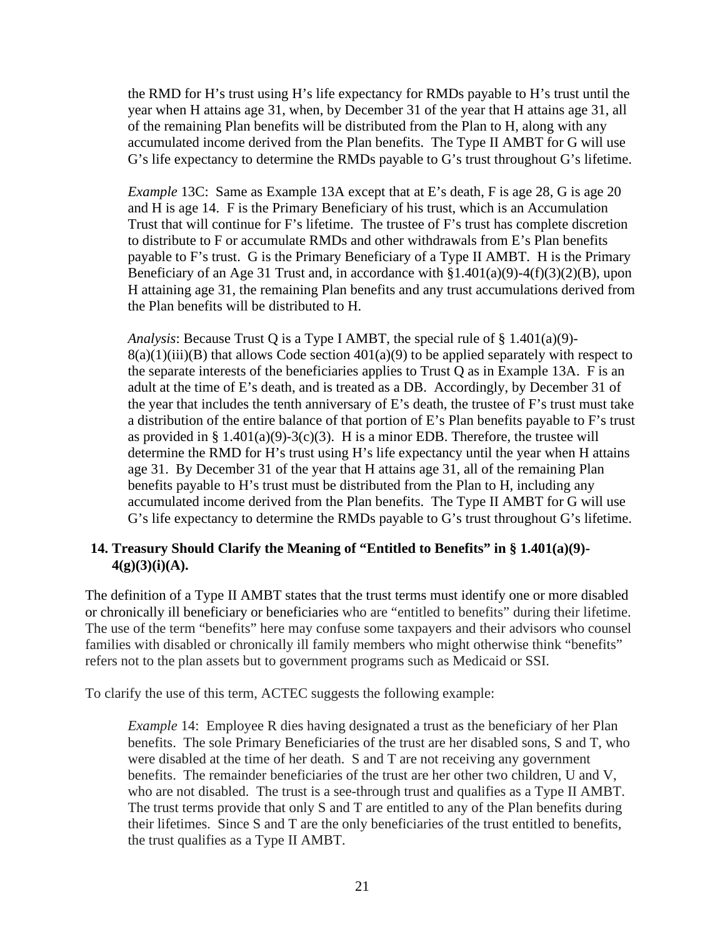the RMD for H's trust using H's life expectancy for RMDs payable to H's trust until the year when H attains age 31, when, by December 31 of the year that H attains age 31, all of the remaining Plan benefits will be distributed from the Plan to H, along with any accumulated income derived from the Plan benefits. The Type II AMBT for G will use G's life expectancy to determine the RMDs payable to G's trust throughout G's lifetime.

*Example* 13C: Same as Example 13A except that at E's death, F is age 28, G is age 20 and H is age 14. F is the Primary Beneficiary of his trust, which is an Accumulation Trust that will continue for F's lifetime. The trustee of F's trust has complete discretion to distribute to F or accumulate RMDs and other withdrawals from E's Plan benefits payable to F's trust. G is the Primary Beneficiary of a Type II AMBT. H is the Primary Beneficiary of an Age 31 Trust and, in accordance with  $$1.401(a)(9) - 4(f)(3)(2)(B)$ , upon H attaining age 31, the remaining Plan benefits and any trust accumulations derived from the Plan benefits will be distributed to H.

*Analysis*: Because Trust Q is a Type I AMBT, the special rule of § 1.401(a)(9)-  $8(a)(1)(iii)(B)$  that allows Code section  $401(a)(9)$  to be applied separately with respect to the separate interests of the beneficiaries applies to Trust Q as in Example 13A. F is an adult at the time of E's death, and is treated as a DB. Accordingly, by December 31 of the year that includes the tenth anniversary of E's death, the trustee of F's trust must take a distribution of the entire balance of that portion of E's Plan benefits payable to F's trust as provided in §  $1.401(a)(9)-3(c)(3)$ . H is a minor EDB. Therefore, the trustee will determine the RMD for H's trust using H's life expectancy until the year when H attains age 31. By December 31 of the year that H attains age 31, all of the remaining Plan benefits payable to H's trust must be distributed from the Plan to H, including any accumulated income derived from the Plan benefits. The Type II AMBT for G will use G's life expectancy to determine the RMDs payable to G's trust throughout G's lifetime.

#### <span id="page-23-0"></span>**14. Treasury Should Clarify the Meaning of "Entitled to Benefits" in § 1.401(a)(9)- 4(g)(3)(i)(A).**

The definition of a Type II AMBT states that the trust terms must identify one or more disabled or chronically ill beneficiary or beneficiaries who are "entitled to benefits" during their lifetime. The use of the term "benefits" here may confuse some taxpayers and their advisors who counsel families with disabled or chronically ill family members who might otherwise think "benefits" refers not to the plan assets but to government programs such as Medicaid or SSI.

To clarify the use of this term, ACTEC suggests the following example:

*Example* 14: Employee R dies having designated a trust as the beneficiary of her Plan benefits. The sole Primary Beneficiaries of the trust are her disabled sons, S and T, who were disabled at the time of her death. S and T are not receiving any government benefits. The remainder beneficiaries of the trust are her other two children, U and V, who are not disabled. The trust is a see-through trust and qualifies as a Type II AMBT. The trust terms provide that only S and T are entitled to any of the Plan benefits during their lifetimes. Since S and T are the only beneficiaries of the trust entitled to benefits, the trust qualifies as a Type II AMBT.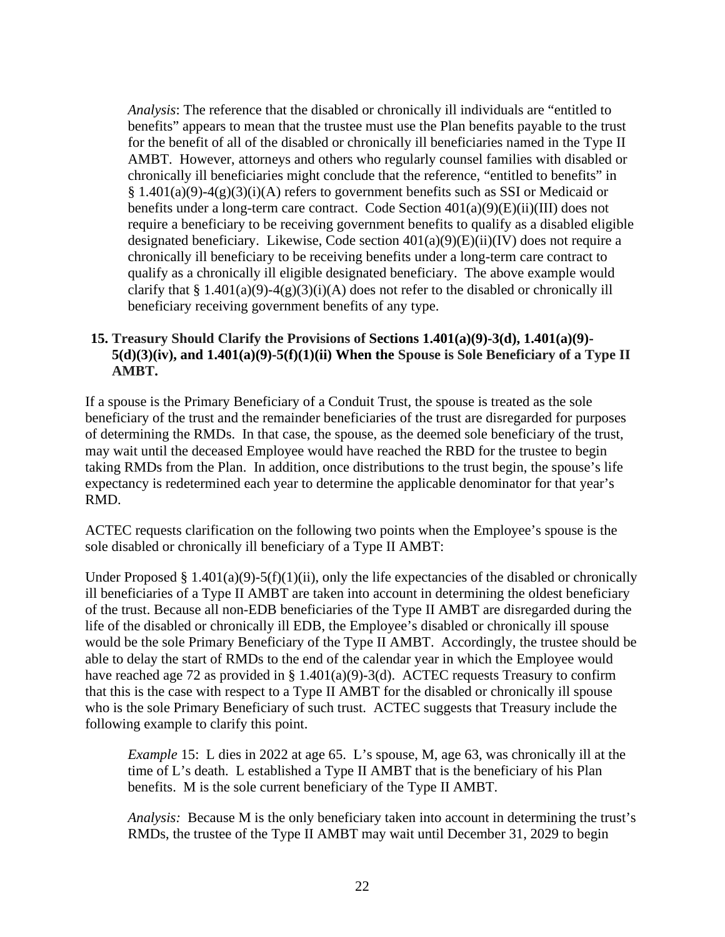*Analysis*: The reference that the disabled or chronically ill individuals are "entitled to benefits" appears to mean that the trustee must use the Plan benefits payable to the trust for the benefit of all of the disabled or chronically ill beneficiaries named in the Type II AMBT. However, attorneys and others who regularly counsel families with disabled or chronically ill beneficiaries might conclude that the reference, "entitled to benefits" in  $§ 1.401(a)(9)-4(g)(3)(i)(A)$  refers to government benefits such as SSI or Medicaid or benefits under a long-term care contract. Code Section 401(a)(9)(E)(ii)(III) does not require a beneficiary to be receiving government benefits to qualify as a disabled eligible designated beneficiary. Likewise, Code section 401(a)(9)(E)(ii)(IV) does not require a chronically ill beneficiary to be receiving benefits under a long-term care contract to qualify as a chronically ill eligible designated beneficiary. The above example would clarify that  $\S 1.401(a)(9)-4(g)(3)(i)(A)$  does not refer to the disabled or chronically ill beneficiary receiving government benefits of any type.

#### <span id="page-24-0"></span>**15. Treasury Should Clarify the Provisions of Sections 1.401(a)(9)-3(d), 1.401(a)(9)- 5(d)(3)(iv), and 1.401(a)(9)-5(f)(1)(ii) When the Spouse is Sole Beneficiary of a Type II AMBT.**

If a spouse is the Primary Beneficiary of a Conduit Trust, the spouse is treated as the sole beneficiary of the trust and the remainder beneficiaries of the trust are disregarded for purposes of determining the RMDs. In that case, the spouse, as the deemed sole beneficiary of the trust, may wait until the deceased Employee would have reached the RBD for the trustee to begin taking RMDs from the Plan. In addition, once distributions to the trust begin, the spouse's life expectancy is redetermined each year to determine the applicable denominator for that year's RMD.

ACTEC requests clarification on the following two points when the Employee's spouse is the sole disabled or chronically ill beneficiary of a Type II AMBT:

Under Proposed § 1.401(a)(9)-5(f)(1)(ii), only the life expectancies of the disabled or chronically ill beneficiaries of a Type II AMBT are taken into account in determining the oldest beneficiary of the trust. Because all non-EDB beneficiaries of the Type II AMBT are disregarded during the life of the disabled or chronically ill EDB, the Employee's disabled or chronically ill spouse would be the sole Primary Beneficiary of the Type II AMBT. Accordingly, the trustee should be able to delay the start of RMDs to the end of the calendar year in which the Employee would have reached age 72 as provided in § 1.401(a)(9)-3(d). ACTEC requests Treasury to confirm that this is the case with respect to a Type II AMBT for the disabled or chronically ill spouse who is the sole Primary Beneficiary of such trust. ACTEC suggests that Treasury include the following example to clarify this point.

*Example* 15: L dies in 2022 at age 65. L's spouse, M, age 63, was chronically ill at the time of L's death. L established a Type II AMBT that is the beneficiary of his Plan benefits. M is the sole current beneficiary of the Type II AMBT.

*Analysis:* Because M is the only beneficiary taken into account in determining the trust's RMDs, the trustee of the Type II AMBT may wait until December 31, 2029 to begin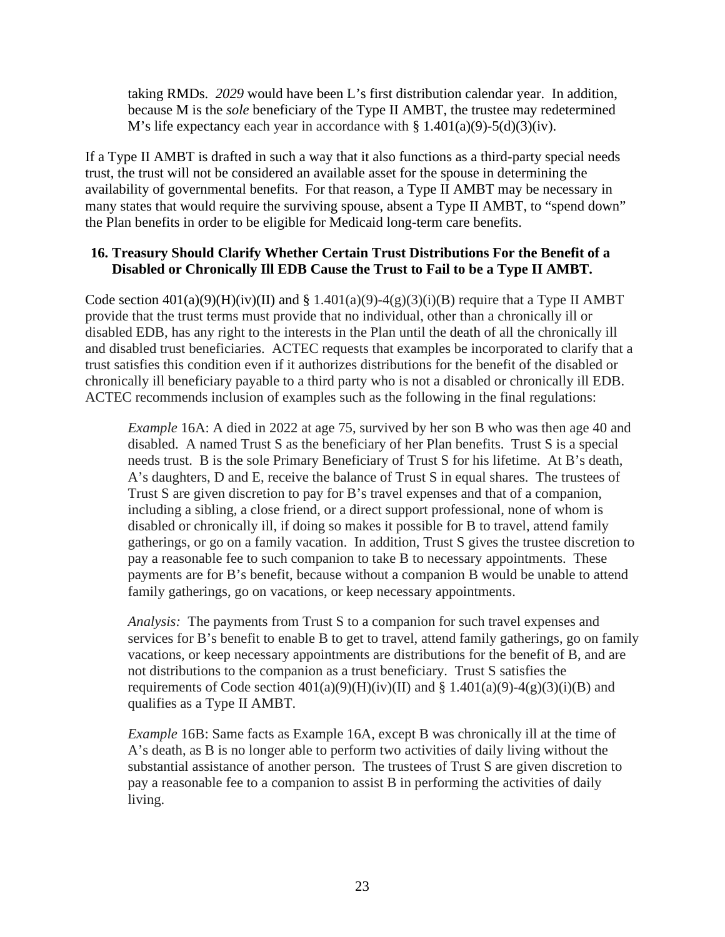taking RMDs. *2029* would have been L's first distribution calendar year. In addition, because M is the *sole* beneficiary of the Type II AMBT, the trustee may redetermined M's life expectancy each year in accordance with  $\S 1.401(a)(9) - 5(d)(3)(iv)$ .

If a Type II AMBT is drafted in such a way that it also functions as a third-party special needs trust, the trust will not be considered an available asset for the spouse in determining the availability of governmental benefits. For that reason, a Type II AMBT may be necessary in many states that would require the surviving spouse, absent a Type II AMBT, to "spend down" the Plan benefits in order to be eligible for Medicaid long-term care benefits.

#### <span id="page-25-0"></span>**16. Treasury Should Clarify Whether Certain Trust Distributions For the Benefit of a Disabled or Chronically Ill EDB Cause the Trust to Fail to be a Type II AMBT.**

Code section  $401(a)(9)(H)(iv)(II)$  and §  $1.401(a)(9)-4(g)(3)(i)(B)$  require that a Type II AMBT provide that the trust terms must provide that no individual, other than a chronically ill or disabled EDB, has any right to the interests in the Plan until the death of all the chronically ill and disabled trust beneficiaries. ACTEC requests that examples be incorporated to clarify that a trust satisfies this condition even if it authorizes distributions for the benefit of the disabled or chronically ill beneficiary payable to a third party who is not a disabled or chronically ill EDB. ACTEC recommends inclusion of examples such as the following in the final regulations:

*Example* 16A: A died in 2022 at age 75, survived by her son B who was then age 40 and disabled. A named Trust S as the beneficiary of her Plan benefits. Trust S is a special needs trust. B is the sole Primary Beneficiary of Trust S for his lifetime. At B's death, A's daughters, D and E, receive the balance of Trust S in equal shares. The trustees of Trust S are given discretion to pay for B's travel expenses and that of a companion, including a sibling, a close friend, or a direct support professional, none of whom is disabled or chronically ill, if doing so makes it possible for B to travel, attend family gatherings, or go on a family vacation. In addition, Trust S gives the trustee discretion to pay a reasonable fee to such companion to take B to necessary appointments. These payments are for B's benefit, because without a companion B would be unable to attend family gatherings, go on vacations, or keep necessary appointments.

*Analysis:* The payments from Trust S to a companion for such travel expenses and services for B's benefit to enable B to get to travel, attend family gatherings, go on family vacations, or keep necessary appointments are distributions for the benefit of B, and are not distributions to the companion as a trust beneficiary. Trust S satisfies the requirements of Code section  $401(a)(9)(H)(iv)(II)$  and § 1.401(a)(9)-4(g)(3)(i)(B) and qualifies as a Type II AMBT.

*Example* 16B: Same facts as Example 16A, except B was chronically ill at the time of A's death, as B is no longer able to perform two activities of daily living without the substantial assistance of another person. The trustees of Trust S are given discretion to pay a reasonable fee to a companion to assist B in performing the activities of daily living.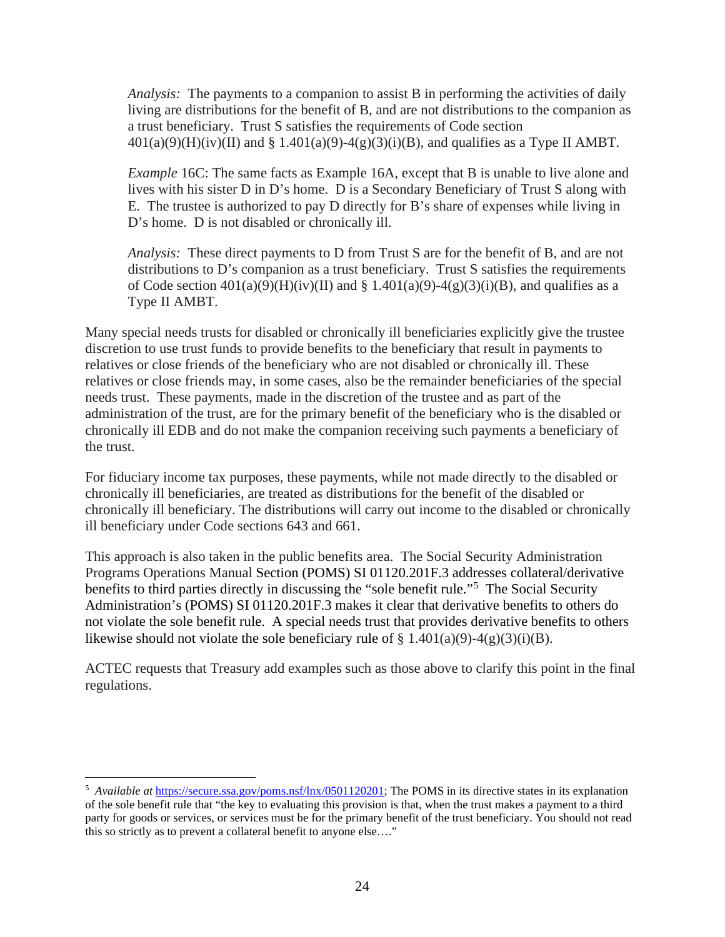*Analysis:* The payments to a companion to assist B in performing the activities of daily living are distributions for the benefit of B, and are not distributions to the companion as a trust beneficiary. Trust S satisfies the requirements of Code section  $401(a)(9)(H)(iv)(II)$  and § 1.401(a)(9)-4(g)(3)(i)(B), and qualifies as a Type II AMBT.

*Example* 16C: The same facts as Example 16A, except that B is unable to live alone and lives with his sister D in D's home. D is a Secondary Beneficiary of Trust S along with E. The trustee is authorized to pay D directly for B's share of expenses while living in D's home. D is not disabled or chronically ill.

*Analysis:* These direct payments to D from Trust S are for the benefit of B, and are not distributions to D's companion as a trust beneficiary. Trust S satisfies the requirements of Code section  $401(a)(9)(H)(iv)(II)$  and § 1.401(a)(9)-4(g)(3)(i)(B), and qualifies as a Type II AMBT.

Many special needs trusts for disabled or chronically ill beneficiaries explicitly give the trustee discretion to use trust funds to provide benefits to the beneficiary that result in payments to relatives or close friends of the beneficiary who are not disabled or chronically ill. These relatives or close friends may, in some cases, also be the remainder beneficiaries of the special needs trust. These payments, made in the discretion of the trustee and as part of the administration of the trust, are for the primary benefit of the beneficiary who is the disabled or chronically ill EDB and do not make the companion receiving such payments a beneficiary of the trust.

For fiduciary income tax purposes, these payments, while not made directly to the disabled or chronically ill beneficiaries, are treated as distributions for the benefit of the disabled or chronically ill beneficiary. The distributions will carry out income to the disabled or chronically ill beneficiary under Code sections 643 and 661.

This approach is also taken in the public benefits area. The Social Security Administration Programs Operations Manual Section (POMS) SI 01120.201F.3 addresses collateral/derivative benefits to third parties directly in discussing the "sole benefit rule."<sup>[5](#page-26-0)</sup> The Social Security Administration's (POMS) SI 01120.201F.3 makes it clear that derivative benefits to others do not violate the sole benefit rule. A special needs trust that provides derivative benefits to others likewise should not violate the sole beneficiary rule of  $\S 1.401(a)(9)-4(g)(3)(i)(B)$ .

ACTEC requests that Treasury add examples such as those above to clarify this point in the final regulations.

<span id="page-26-0"></span><sup>&</sup>lt;sup>5</sup> *Available at* [https://secure.ssa.gov/poms.nsf/lnx/0501120201;](https://secure.ssa.gov/poms.nsf/lnx/0501120201) The POMS in its directive states in its explanation of the sole benefit rule that "the key to evaluating this provision is that, when the trust makes a payment to a third party for goods or services, or services must be for the primary benefit of the trust beneficiary. You should not read this so strictly as to prevent a collateral benefit to anyone else…."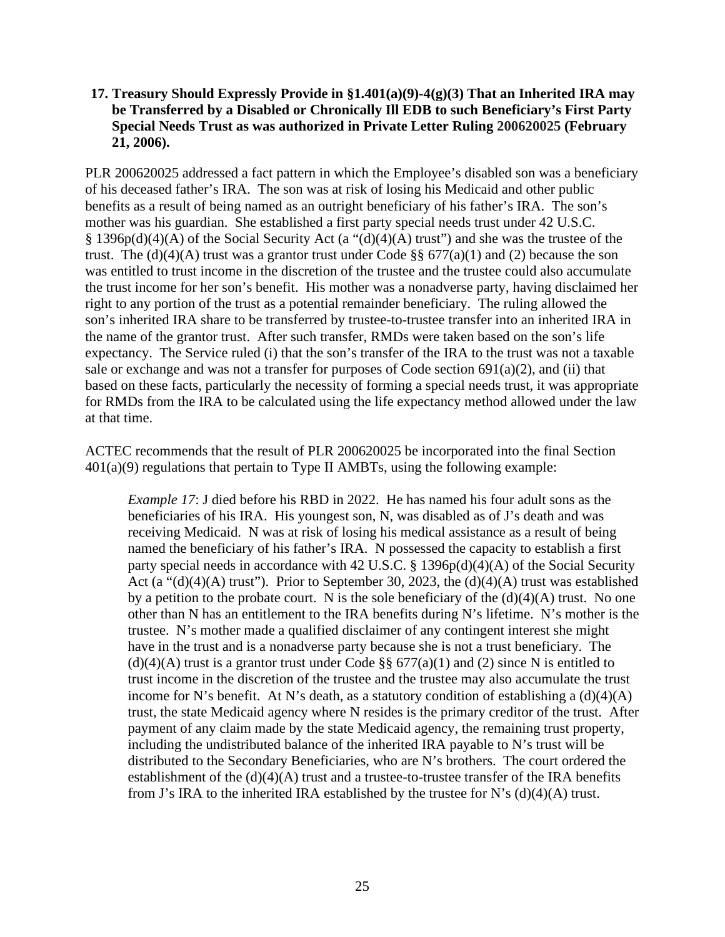#### <span id="page-27-0"></span>**17. Treasury Should Expressly Provide in §1.401(a)(9)-4(g)(3) That an Inherited IRA may be Transferred by a Disabled or Chronically Ill EDB to such Beneficiary's First Party Special Needs Trust as was authorized in Private Letter Ruling 200620025 (February 21, 2006).**

PLR 200620025 addressed a fact pattern in which the Employee's disabled son was a beneficiary of his deceased father's IRA. The son was at risk of losing his Medicaid and other public benefits as a result of being named as an outright beneficiary of his father's IRA. The son's mother was his guardian. She established a first party special needs trust under 42 U.S.C. § 1396p(d)(4)(A) of the Social Security Act (a "(d)(4)(A) trust") and she was the trustee of the trust. The (d)(4)(A) trust was a grantor trust under Code  $\S$ § 677(a)(1) and (2) because the son was entitled to trust income in the discretion of the trustee and the trustee could also accumulate the trust income for her son's benefit. His mother was a nonadverse party, having disclaimed her right to any portion of the trust as a potential remainder beneficiary. The ruling allowed the son's inherited IRA share to be transferred by trustee-to-trustee transfer into an inherited IRA in the name of the grantor trust. After such transfer, RMDs were taken based on the son's life expectancy. The Service ruled (i) that the son's transfer of the IRA to the trust was not a taxable sale or exchange and was not a transfer for purposes of Code section  $691(a)(2)$ , and (ii) that based on these facts, particularly the necessity of forming a special needs trust, it was appropriate for RMDs from the IRA to be calculated using the life expectancy method allowed under the law at that time.

ACTEC recommends that the result of PLR 200620025 be incorporated into the final Section 401(a)(9) regulations that pertain to Type II AMBTs, using the following example:

*Example 17*: J died before his RBD in 2022. He has named his four adult sons as the beneficiaries of his IRA. His youngest son, N, was disabled as of J's death and was receiving Medicaid. N was at risk of losing his medical assistance as a result of being named the beneficiary of his father's IRA. N possessed the capacity to establish a first party special needs in accordance with 42 U.S.C. § 1396p(d)(4)(A) of the Social Security Act (a " $(d)(4)(A)$  trust"). Prior to September 30, 2023, the  $(d)(4)(A)$  trust was established by a petition to the probate court. N is the sole beneficiary of the  $(d)(4)(A)$  trust. No one other than N has an entitlement to the IRA benefits during N's lifetime. N's mother is the trustee. N's mother made a qualified disclaimer of any contingent interest she might have in the trust and is a nonadverse party because she is not a trust beneficiary. The  $(d)(4)(A)$  trust is a grantor trust under Code §§ 677(a)(1) and (2) since N is entitled to trust income in the discretion of the trustee and the trustee may also accumulate the trust income for N's benefit. At N's death, as a statutory condition of establishing a  $(d)(4)(A)$ trust, the state Medicaid agency where N resides is the primary creditor of the trust. After payment of any claim made by the state Medicaid agency, the remaining trust property, including the undistributed balance of the inherited IRA payable to N's trust will be distributed to the Secondary Beneficiaries, who are N's brothers. The court ordered the establishment of the  $(d)(4)(A)$  trust and a trustee-to-trustee transfer of the IRA benefits from J's IRA to the inherited IRA established by the trustee for N's  $(d)(4)(A)$  trust.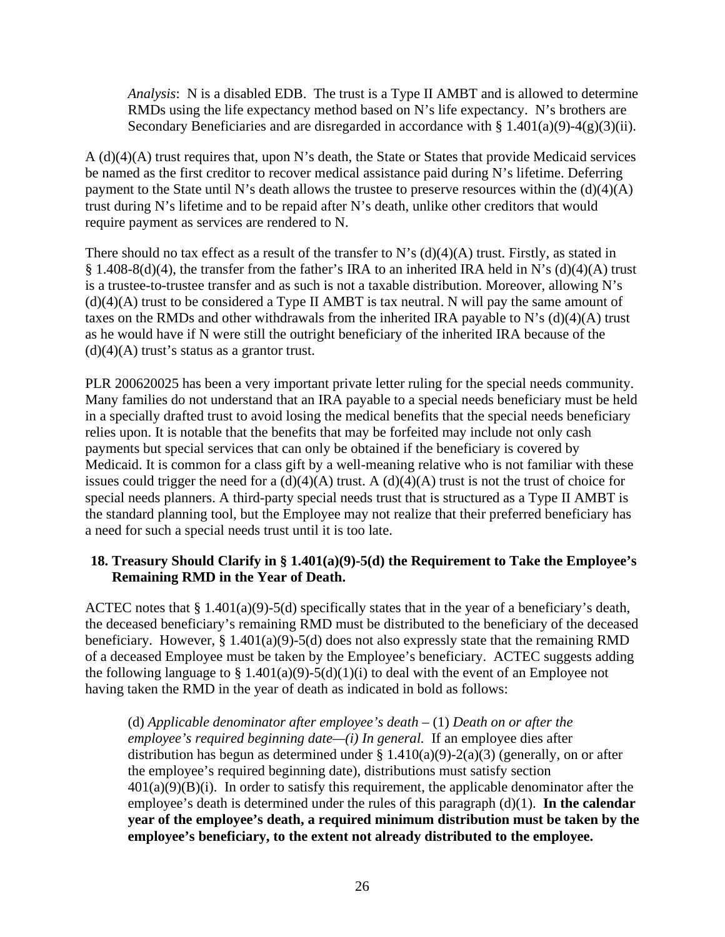*Analysis*: N is a disabled EDB. The trust is a Type II AMBT and is allowed to determine RMDs using the life expectancy method based on N's life expectancy. N's brothers are Secondary Beneficiaries and are disregarded in accordance with  $\S 1.401(a)(9) - 4(g)(3)(ii)$ .

A (d)(4)(A) trust requires that, upon N's death, the State or States that provide Medicaid services be named as the first creditor to recover medical assistance paid during N's lifetime. Deferring payment to the State until N's death allows the trustee to preserve resources within the  $(d)(4)(A)$ trust during N's lifetime and to be repaid after N's death, unlike other creditors that would require payment as services are rendered to N.

There should no tax effect as a result of the transfer to N's  $(d)(4)(A)$  trust. Firstly, as stated in § 1.408-8(d)(4), the transfer from the father's IRA to an inherited IRA held in N's (d)(4)(A) trust is a trustee-to-trustee transfer and as such is not a taxable distribution. Moreover, allowing N's  $(d)(4)(A)$  trust to be considered a Type II AMBT is tax neutral. N will pay the same amount of taxes on the RMDs and other withdrawals from the inherited IRA payable to N's  $(d)(4)(A)$  trust as he would have if N were still the outright beneficiary of the inherited IRA because of the  $(d)(4)(A)$  trust's status as a grantor trust.

PLR 200620025 has been a very important private letter ruling for the special needs community. Many families do not understand that an IRA payable to a special needs beneficiary must be held in a specially drafted trust to avoid losing the medical benefits that the special needs beneficiary relies upon. It is notable that the benefits that may be forfeited may include not only cash payments but special services that can only be obtained if the beneficiary is covered by Medicaid. It is common for a class gift by a well-meaning relative who is not familiar with these issues could trigger the need for a  $(d)(4)(A)$  trust. A  $(d)(4)(A)$  trust is not the trust of choice for special needs planners. A third-party special needs trust that is structured as a Type II AMBT is the standard planning tool, but the Employee may not realize that their preferred beneficiary has a need for such a special needs trust until it is too late.

#### <span id="page-28-0"></span>**18. Treasury Should Clarify in § 1.401(a)(9)-5(d) the Requirement to Take the Employee's Remaining RMD in the Year of Death.**

ACTEC notes that § 1.401(a)(9)-5(d) specifically states that in the year of a beneficiary's death, the deceased beneficiary's remaining RMD must be distributed to the beneficiary of the deceased beneficiary. However,  $\S 1.401(a)(9) - 5(d)$  does not also expressly state that the remaining RMD of a deceased Employee must be taken by the Employee's beneficiary. ACTEC suggests adding the following language to § 1.401(a)(9)-5(d)(1)(i) to deal with the event of an Employee not having taken the RMD in the year of death as indicated in bold as follows:

(d) *Applicable denominator after employee's death –* (1) *Death on or after the employee's required beginning date—(i) In general.* If an employee dies after distribution has begun as determined under  $\S 1.410(a)(9) - 2(a)(3)$  (generally, on or after the employee's required beginning date), distributions must satisfy section  $401(a)(9)(B)(i)$ . In order to satisfy this requirement, the applicable denominator after the employee's death is determined under the rules of this paragraph (d)(1). **In the calendar year of the employee's death, a required minimum distribution must be taken by the employee's beneficiary, to the extent not already distributed to the employee.**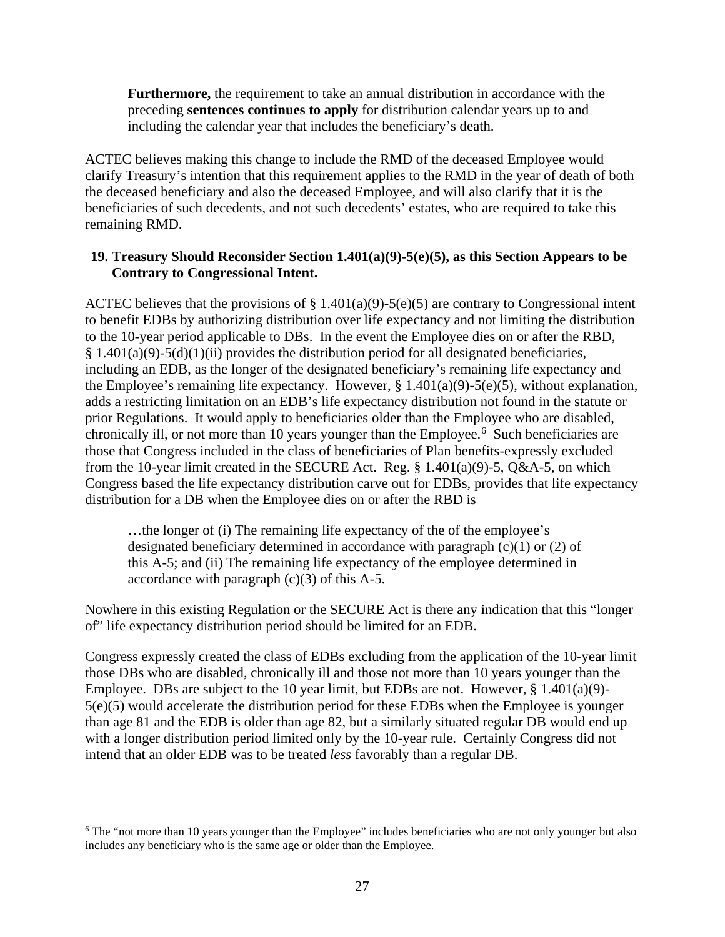**Furthermore,** the requirement to take an annual distribution in accordance with the preceding **sentences continues to apply** for distribution calendar years up to and including the calendar year that includes the beneficiary's death.

ACTEC believes making this change to include the RMD of the deceased Employee would clarify Treasury's intention that this requirement applies to the RMD in the year of death of both the deceased beneficiary and also the deceased Employee, and will also clarify that it is the beneficiaries of such decedents, and not such decedents' estates, who are required to take this remaining RMD.

#### <span id="page-29-0"></span>**19. Treasury Should Reconsider Section 1.401(a)(9)-5(e)(5), as this Section Appears to be Contrary to Congressional Intent.**

ACTEC believes that the provisions of  $\S 1.401(a)(9) - 5(e)(5)$  are contrary to Congressional intent to benefit EDBs by authorizing distribution over life expectancy and not limiting the distribution to the 10-year period applicable to DBs. In the event the Employee dies on or after the RBD,  $§ 1.401(a)(9)-5(d)(1)(ii)$  provides the distribution period for all designated beneficiaries, including an EDB, as the longer of the designated beneficiary's remaining life expectancy and the Employee's remaining life expectancy. However,  $\S 1.401(a)(9)-5(e)(5)$ , without explanation, adds a restricting limitation on an EDB's life expectancy distribution not found in the statute or prior Regulations. It would apply to beneficiaries older than the Employee who are disabled, chronically ill, or not more than 10 years younger than the Employee. [6](#page-29-1) Such beneficiaries are those that Congress included in the class of beneficiaries of Plan benefits-expressly excluded from the 10-year limit created in the SECURE Act. Reg.  $\S$  1.401(a)(9)-5, Q&A-5, on which Congress based the life expectancy distribution carve out for EDBs, provides that life expectancy distribution for a DB when the Employee dies on or after the RBD is

...the longer of (i) The remaining life expectancy of the of the employee's designated beneficiary determined in accordance with paragraph (c)(1) or (2) of this A-5; and (ii) The remaining life expectancy of the employee determined in accordance with paragraph  $(c)(3)$  of this A-5.

Nowhere in this existing Regulation or the SECURE Act is there any indication that this "longer of" life expectancy distribution period should be limited for an EDB.

Congress expressly created the class of EDBs excluding from the application of the 10-year limit those DBs who are disabled, chronically ill and those not more than 10 years younger than the Employee. DBs are subject to the 10 year limit, but EDBs are not. However,  $\S 1.401(a)(9)$ -5(e)(5) would accelerate the distribution period for these EDBs when the Employee is younger than age 81 and the EDB is older than age 82, but a similarly situated regular DB would end up with a longer distribution period limited only by the 10-year rule. Certainly Congress did not intend that an older EDB was to be treated *less* favorably than a regular DB.

<span id="page-29-1"></span><sup>&</sup>lt;sup>6</sup> The "not more than 10 years younger than the Employee" includes beneficiaries who are not only younger but also includes any beneficiary who is the same age or older than the Employee.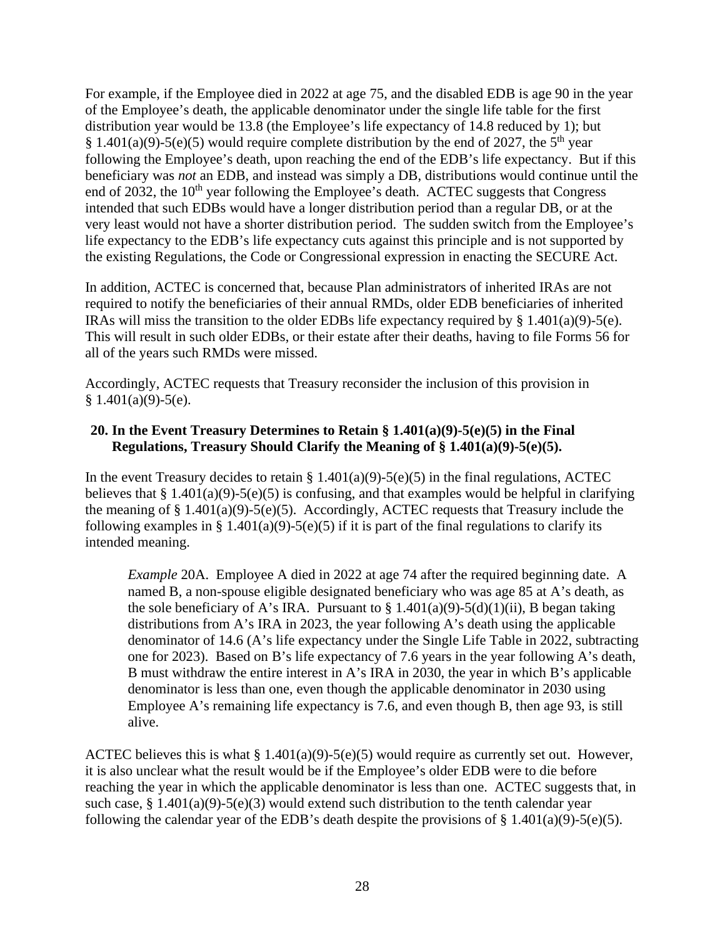For example, if the Employee died in 2022 at age 75, and the disabled EDB is age 90 in the year of the Employee's death, the applicable denominator under the single life table for the first distribution year would be 13.8 (the Employee's life expectancy of 14.8 reduced by 1); but § 1.401(a)(9)-5(e)(5) would require complete distribution by the end of 2027, the 5<sup>th</sup> year following the Employee's death, upon reaching the end of the EDB's life expectancy. But if this beneficiary was *not* an EDB, and instead was simply a DB, distributions would continue until the end of 2032, the  $10<sup>th</sup>$  year following the Employee's death. ACTEC suggests that Congress intended that such EDBs would have a longer distribution period than a regular DB, or at the very least would not have a shorter distribution period. The sudden switch from the Employee's life expectancy to the EDB's life expectancy cuts against this principle and is not supported by the existing Regulations, the Code or Congressional expression in enacting the SECURE Act.

In addition, ACTEC is concerned that, because Plan administrators of inherited IRAs are not required to notify the beneficiaries of their annual RMDs, older EDB beneficiaries of inherited IRAs will miss the transition to the older EDBs life expectancy required by  $\S$  1.401(a)(9)-5(e). This will result in such older EDBs, or their estate after their deaths, having to file Forms 56 for all of the years such RMDs were missed.

Accordingly, ACTEC requests that Treasury reconsider the inclusion of this provision in  $§ 1.401(a)(9)-5(e).$ 

#### <span id="page-30-0"></span>**20. In the Event Treasury Determines to Retain § 1.401(a)(9)-5(e)(5) in the Final Regulations, Treasury Should Clarify the Meaning of § 1.401(a)(9)-5(e)(5).**

In the event Treasury decides to retain §  $1.401(a)(9)$ -5(e)(5) in the final regulations, ACTEC believes that  $§ 1.401(a)(9)-5(e)(5)$  is confusing, and that examples would be helpful in clarifying the meaning of  $\S 1.401(a)(9) - 5(e)(5)$ . Accordingly, ACTEC requests that Treasury include the following examples in § 1.401(a)(9)-5(e)(5) if it is part of the final regulations to clarify its intended meaning.

*Example* 20A. Employee A died in 2022 at age 74 after the required beginning date. A named B, a non-spouse eligible designated beneficiary who was age 85 at A's death, as the sole beneficiary of A's IRA. Pursuant to  $\S 1.401(a)(9) - 5(d)(1)(ii)$ , B began taking distributions from A's IRA in 2023, the year following A's death using the applicable denominator of 14.6 (A's life expectancy under the Single Life Table in 2022, subtracting one for 2023). Based on B's life expectancy of 7.6 years in the year following A's death, B must withdraw the entire interest in A's IRA in 2030, the year in which B's applicable denominator is less than one, even though the applicable denominator in 2030 using Employee A's remaining life expectancy is 7.6, and even though B, then age 93, is still alive.

ACTEC believes this is what  $\S 1.401(a)(9)-5(e)(5)$  would require as currently set out. However, it is also unclear what the result would be if the Employee's older EDB were to die before reaching the year in which the applicable denominator is less than one. ACTEC suggests that, in such case,  $§$  1.401(a)(9)-5(e)(3) would extend such distribution to the tenth calendar year following the calendar year of the EDB's death despite the provisions of  $\S$  1.401(a)(9)-5(e)(5).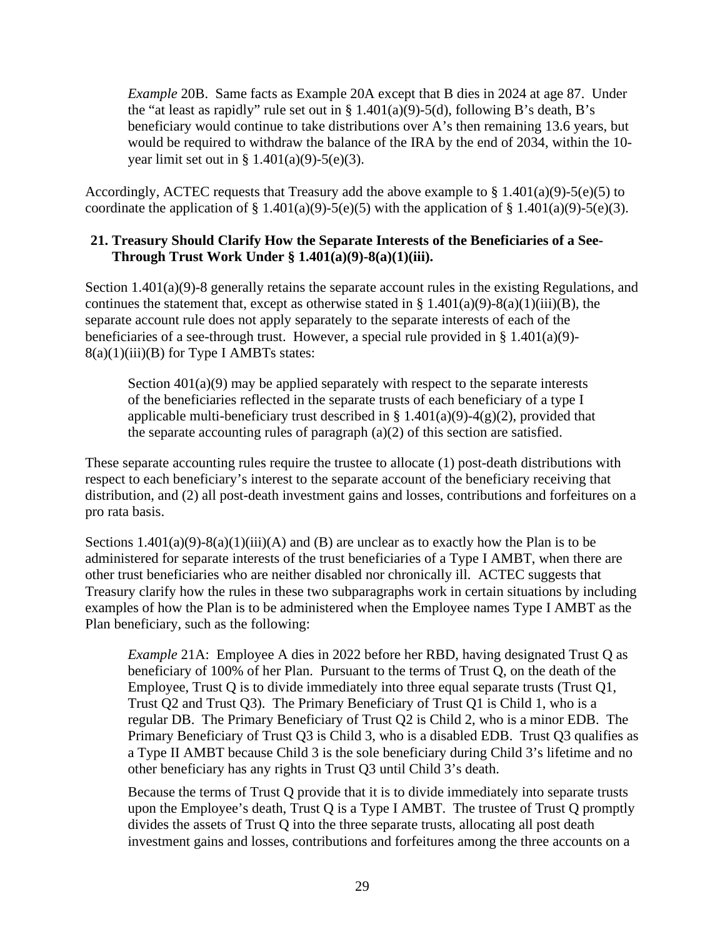*Example* 20B. Same facts as Example 20A except that B dies in 2024 at age 87. Under the "at least as rapidly" rule set out in  $\S 1.401(a)(9) - 5(d)$ , following B's death, B's beneficiary would continue to take distributions over A's then remaining 13.6 years, but would be required to withdraw the balance of the IRA by the end of 2034, within the 10 year limit set out in  $§ 1.401(a)(9)-5(e)(3)$ .

Accordingly, ACTEC requests that Treasury add the above example to  $\S 1.401(a)(9)-5(e)(5)$  to coordinate the application of  $\S 1.401(a)(9) - 5(e)(5)$  with the application of  $\S 1.401(a)(9) - 5(e)(3)$ .

#### <span id="page-31-0"></span>**21. Treasury Should Clarify How the Separate Interests of the Beneficiaries of a See-Through Trust Work Under § 1.401(a)(9)-8(a)(1)(iii).**

Section 1.401(a)(9)-8 generally retains the separate account rules in the existing Regulations, and continues the statement that, except as otherwise stated in  $\S 1.401(a)(9) - 8(a)(1)(iii)(B)$ , the separate account rule does not apply separately to the separate interests of each of the beneficiaries of a see-through trust. However, a special rule provided in § 1.401(a)(9)- $8(a)(1)(iii)(B)$  for Type I AMBTs states:

Section  $401(a)(9)$  may be applied separately with respect to the separate interests of the beneficiaries reflected in the separate trusts of each beneficiary of a type I applicable multi-beneficiary trust described in § 1.401(a)(9)-4(g)(2), provided that the separate accounting rules of paragraph (a)(2) of this section are satisfied.

These separate accounting rules require the trustee to allocate (1) post-death distributions with respect to each beneficiary's interest to the separate account of the beneficiary receiving that distribution, and (2) all post-death investment gains and losses, contributions and forfeitures on a pro rata basis.

Sections  $1.401(a)(9)-8(a)(1)(iii)(A)$  and (B) are unclear as to exactly how the Plan is to be administered for separate interests of the trust beneficiaries of a Type I AMBT, when there are other trust beneficiaries who are neither disabled nor chronically ill. ACTEC suggests that Treasury clarify how the rules in these two subparagraphs work in certain situations by including examples of how the Plan is to be administered when the Employee names Type I AMBT as the Plan beneficiary, such as the following:

*Example 21A:* Employee A dies in 2022 before her RBD, having designated Trust Q as beneficiary of 100% of her Plan. Pursuant to the terms of Trust Q, on the death of the Employee, Trust Q is to divide immediately into three equal separate trusts (Trust Q1, Trust Q2 and Trust Q3). The Primary Beneficiary of Trust Q1 is Child 1, who is a regular DB. The Primary Beneficiary of Trust Q2 is Child 2, who is a minor EDB. The Primary Beneficiary of Trust Q3 is Child 3, who is a disabled EDB. Trust Q3 qualifies as a Type II AMBT because Child 3 is the sole beneficiary during Child 3's lifetime and no other beneficiary has any rights in Trust Q3 until Child 3's death.

Because the terms of Trust Q provide that it is to divide immediately into separate trusts upon the Employee's death, Trust Q is a Type I AMBT. The trustee of Trust Q promptly divides the assets of Trust Q into the three separate trusts, allocating all post death investment gains and losses, contributions and forfeitures among the three accounts on a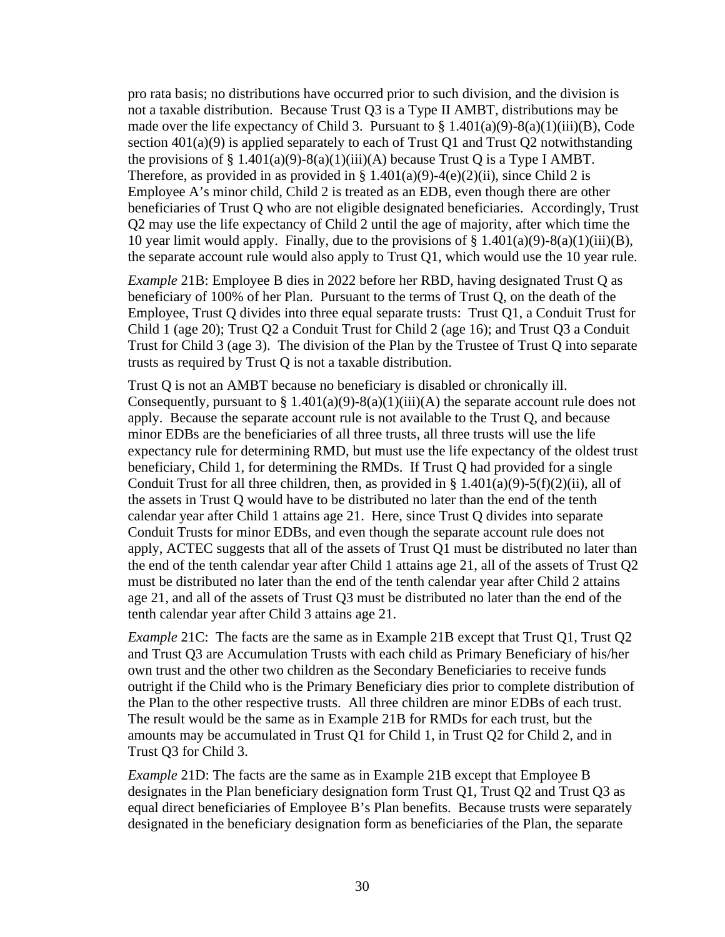pro rata basis; no distributions have occurred prior to such division, and the division is not a taxable distribution. Because Trust Q3 is a Type II AMBT, distributions may be made over the life expectancy of Child 3. Pursuant to  $\S 1.401(a)(9) - 8(a)(1)(iii)(B)$ , Code section  $401(a)(9)$  is applied separately to each of Trust Q1 and Trust Q2 notwithstanding the provisions of § 1.401(a)(9)-8(a)(1)(iii)(A) because Trust Q is a Type I AMBT. Therefore, as provided in as provided in § 1.401(a)(9)-4(e)(2)(ii), since Child 2 is Employee A's minor child, Child 2 is treated as an EDB, even though there are other beneficiaries of Trust Q who are not eligible designated beneficiaries. Accordingly, Trust Q2 may use the life expectancy of Child 2 until the age of majority, after which time the 10 year limit would apply. Finally, due to the provisions of  $\S$  1.401(a)(9)-8(a)(1)(iii)(B), the separate account rule would also apply to Trust Q1, which would use the 10 year rule.

*Example* 21B: Employee B dies in 2022 before her RBD, having designated Trust Q as beneficiary of 100% of her Plan. Pursuant to the terms of Trust Q, on the death of the Employee, Trust Q divides into three equal separate trusts: Trust Q1, a Conduit Trust for Child 1 (age 20); Trust Q2 a Conduit Trust for Child 2 (age 16); and Trust Q3 a Conduit Trust for Child 3 (age 3). The division of the Plan by the Trustee of Trust Q into separate trusts as required by Trust Q is not a taxable distribution.

Trust Q is not an AMBT because no beneficiary is disabled or chronically ill. Consequently, pursuant to  $\S 1.401(a)(9)-8(a)(1)(iii)(A)$  the separate account rule does not apply. Because the separate account rule is not available to the Trust Q, and because minor EDBs are the beneficiaries of all three trusts, all three trusts will use the life expectancy rule for determining RMD, but must use the life expectancy of the oldest trust beneficiary, Child 1, for determining the RMDs. If Trust Q had provided for a single Conduit Trust for all three children, then, as provided in  $\S 1.401(a)(9)-5(f)(2)(ii)$ , all of the assets in Trust Q would have to be distributed no later than the end of the tenth calendar year after Child 1 attains age 21. Here, since Trust Q divides into separate Conduit Trusts for minor EDBs, and even though the separate account rule does not apply, ACTEC suggests that all of the assets of Trust Q1 must be distributed no later than the end of the tenth calendar year after Child 1 attains age 21, all of the assets of Trust Q2 must be distributed no later than the end of the tenth calendar year after Child 2 attains age 21, and all of the assets of Trust Q3 must be distributed no later than the end of the tenth calendar year after Child 3 attains age 21.

*Example 21C*: The facts are the same as in Example 21B except that Trust Q1, Trust Q2 and Trust Q3 are Accumulation Trusts with each child as Primary Beneficiary of his/her own trust and the other two children as the Secondary Beneficiaries to receive funds outright if the Child who is the Primary Beneficiary dies prior to complete distribution of the Plan to the other respective trusts. All three children are minor EDBs of each trust. The result would be the same as in Example 21B for RMDs for each trust, but the amounts may be accumulated in Trust Q1 for Child 1, in Trust Q2 for Child 2, and in Trust Q3 for Child 3.

*Example* 21D: The facts are the same as in Example 21B except that Employee B designates in the Plan beneficiary designation form Trust Q1, Trust Q2 and Trust Q3 as equal direct beneficiaries of Employee B's Plan benefits. Because trusts were separately designated in the beneficiary designation form as beneficiaries of the Plan, the separate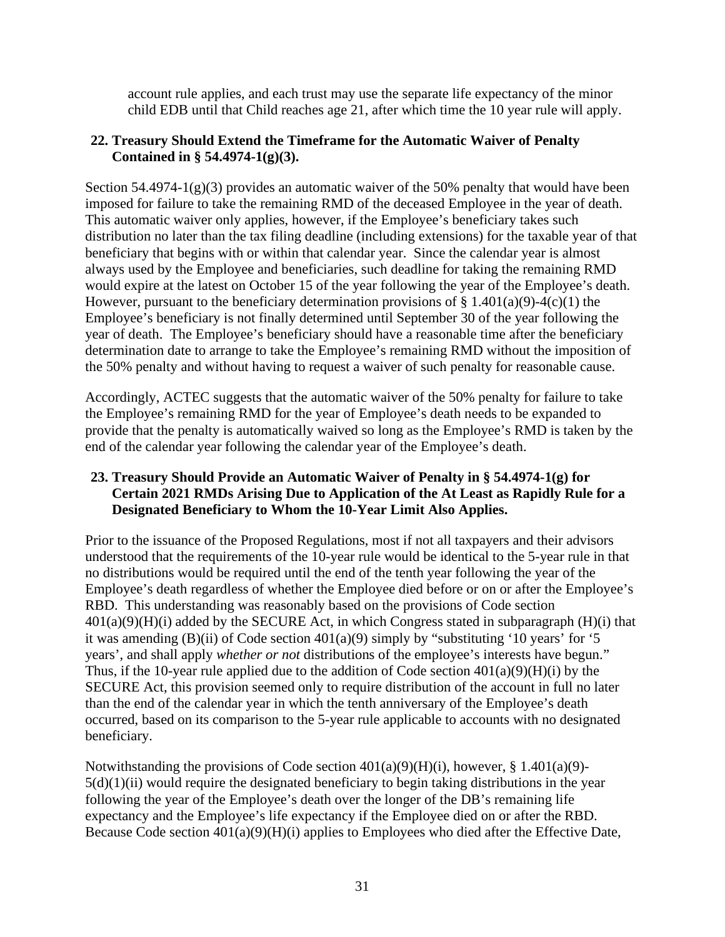account rule applies, and each trust may use the separate life expectancy of the minor child EDB until that Child reaches age 21, after which time the 10 year rule will apply.

#### <span id="page-33-0"></span>**22. Treasury Should Extend the Timeframe for the Automatic Waiver of Penalty Contained in § 54.4974-1(g)(3).**

Section 54.4974-1(g)(3) provides an automatic waiver of the 50% penalty that would have been imposed for failure to take the remaining RMD of the deceased Employee in the year of death. This automatic waiver only applies, however, if the Employee's beneficiary takes such distribution no later than the tax filing deadline (including extensions) for the taxable year of that beneficiary that begins with or within that calendar year. Since the calendar year is almost always used by the Employee and beneficiaries, such deadline for taking the remaining RMD would expire at the latest on October 15 of the year following the year of the Employee's death. However, pursuant to the beneficiary determination provisions of  $\S$  1.401(a)(9)-4(c)(1) the Employee's beneficiary is not finally determined until September 30 of the year following the year of death. The Employee's beneficiary should have a reasonable time after the beneficiary determination date to arrange to take the Employee's remaining RMD without the imposition of the 50% penalty and without having to request a waiver of such penalty for reasonable cause.

Accordingly, ACTEC suggests that the automatic waiver of the 50% penalty for failure to take the Employee's remaining RMD for the year of Employee's death needs to be expanded to provide that the penalty is automatically waived so long as the Employee's RMD is taken by the end of the calendar year following the calendar year of the Employee's death.

#### <span id="page-33-1"></span>**23. Treasury Should Provide an Automatic Waiver of Penalty in § 54.4974-1(g) for Certain 2021 RMDs Arising Due to Application of the At Least as Rapidly Rule for a Designated Beneficiary to Whom the 10-Year Limit Also Applies.**

Prior to the issuance of the Proposed Regulations, most if not all taxpayers and their advisors understood that the requirements of the 10-year rule would be identical to the 5-year rule in that no distributions would be required until the end of the tenth year following the year of the Employee's death regardless of whether the Employee died before or on or after the Employee's RBD. This understanding was reasonably based on the provisions of Code section  $401(a)(9)(H)(i)$  added by the SECURE Act, in which Congress stated in subparagraph  $(H)(i)$  that it was amending (B)(ii) of Code section  $401(a)(9)$  simply by "substituting '10 years' for '5 years', and shall apply *whether or not* distributions of the employee's interests have begun." Thus, if the 10-year rule applied due to the addition of Code section  $401(a)(9)(H)(i)$  by the SECURE Act, this provision seemed only to require distribution of the account in full no later than the end of the calendar year in which the tenth anniversary of the Employee's death occurred, based on its comparison to the 5-year rule applicable to accounts with no designated beneficiary.

Notwithstanding the provisions of Code section  $401(a)(9)(H)(i)$ , however, § 1.401(a)(9)- $5(d)(1)(ii)$  would require the designated beneficiary to begin taking distributions in the year following the year of the Employee's death over the longer of the DB's remaining life expectancy and the Employee's life expectancy if the Employee died on or after the RBD. Because Code section 401(a)(9)(H)(i) applies to Employees who died after the Effective Date,